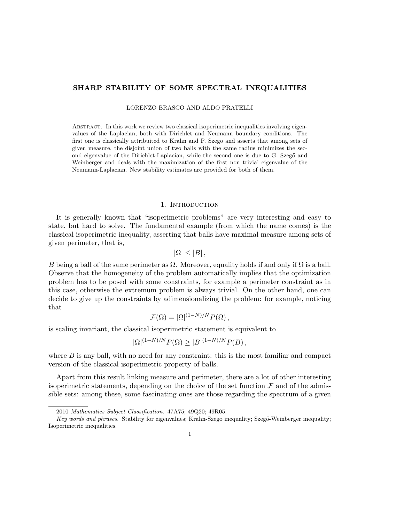# SHARP STABILITY OF SOME SPECTRAL INEQUALITIES

LORENZO BRASCO AND ALDO PRATELLI

Abstract. In this work we review two classical isoperimetric inequalities involving eigenvalues of the Laplacian, both with Dirichlet and Neumann boundary conditions. The first one is classically attribuited to Krahn and P. Szego and asserts that among sets of given measure, the disjoint union of two balls with the same radius minimizes the second eigenvalue of the Dirichlet-Laplacian, while the second one is due to G. Szegő and Weinberger and deals with the maximization of the first non trivial eigenvalue of the Neumann-Laplacian. New stability estimates are provided for both of them.

### 1. INTRODUCTION

It is generally known that "isoperimetric problems" are very interesting and easy to state, but hard to solve. The fundamental example (from which the name comes) is the classical isoperimetric inequality, asserting that balls have maximal measure among sets of given perimeter, that is,

$$
|\Omega| \leq |B| \,,
$$

B being a ball of the same perimeter as  $\Omega$ . Moreover, equality holds if and only if  $\Omega$  is a ball. Observe that the homogeneity of the problem automatically implies that the optimization problem has to be posed with some constraints, for example a perimeter constraint as in this case, otherwise the extremum problem is always trivial. On the other hand, one can decide to give up the constraints by adimensionalizing the problem: for example, noticing that

$$
\mathcal{F}(\Omega) = |\Omega|^{(1-N)/N} P(\Omega) ,
$$

is scaling invariant, the classical isoperimetric statement is equivalent to

$$
|\Omega|^{(1-N)/N} P(\Omega) \ge |B|^{(1-N)/N} P(B),
$$

where  $B$  is any ball, with no need for any constraint: this is the most familiar and compact version of the classical isoperimetric property of balls.

Apart from this result linking measure and perimeter, there are a lot of other interesting isoperimetric statements, depending on the choice of the set function  $\mathcal F$  and of the admissible sets: among these, some fascinating ones are those regarding the spectrum of a given

<sup>2010</sup> Mathematics Subject Classification. 47A75; 49Q20; 49R05.

Key words and phrases. Stability for eigenvalues; Krahn-Szego inequality; Szegő-Weinberger inequality; Isoperimetric inequalities.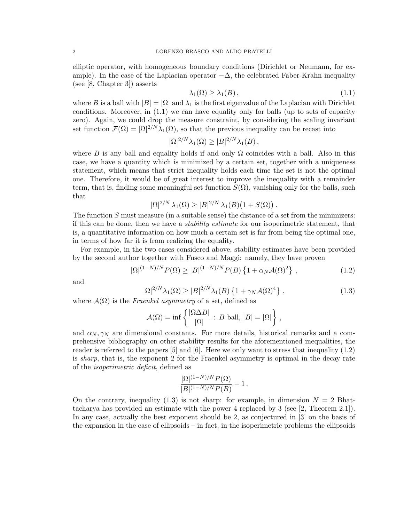elliptic operator, with homogeneous boundary conditions (Dirichlet or Neumann, for example). In the case of the Laplacian operator  $-\Delta$ , the celebrated Faber-Krahn inequality (see [8, Chapter 3]) asserts

$$
\lambda_1(\Omega) \ge \lambda_1(B),\tag{1.1}
$$

where B is a ball with  $|B| = |\Omega|$  and  $\lambda_1$  is the first eigenvalue of the Laplacian with Dirichlet conditions. Moreover, in (1.1) we can have equality only for balls (up to sets of capacity zero). Again, we could drop the measure constraint, by considering the scaling invariant set function  $\mathcal{F}(\Omega) = |\Omega|^{2/N} \lambda_1(\Omega)$ , so that the previous inequality can be recast into

$$
|\Omega|^{2/N}\lambda_1(\Omega) \ge |B|^{2/N}\lambda_1(B),
$$

where B is any ball and equality holds if and only  $\Omega$  coincides with a ball. Also in this case, we have a quantity which is minimized by a certain set, together with a uniqueness statement, which means that strict inequality holds each time the set is not the optimal one. Therefore, it would be of great interest to improve the inequality with a remainder term, that is, finding some meaningful set function  $S(\Omega)$ , vanishing only for the balls, such that

$$
|\Omega|^{2/N} \lambda_1(\Omega) \ge |B|^{2/N} \lambda_1(B) (1 + S(\Omega)).
$$

The function S must measure (in a suitable sense) the distance of a set from the minimizers: if this can be done, then we have a stability estimate for our isoperimetric statement, that is, a quantitative information on how much a certain set is far from being the optimal one, in terms of how far it is from realizing the equality.

For example, in the two cases considered above, stability estimates have been provided by the second author together with Fusco and Maggi: namely, they have proven

$$
|\Omega|^{(1-N)/N} P(\Omega) \ge |B|^{(1-N)/N} P(B) \left\{ 1 + \alpha_N \mathcal{A}(\Omega)^2 \right\},
$$
\n(1.2)

and

$$
|\Omega|^{2/N}\lambda_1(\Omega) \ge |B|^{2/N}\lambda_1(B)\left\{1+\gamma_N\mathcal{A}(\Omega)^4\right\},\tag{1.3}
$$

where  $\mathcal{A}(\Omega)$  is the Fraenkel asymmetry of a set, defined as

$$
\mathcal{A}(\Omega) = \inf \left\{ \frac{|\Omega \Delta B|}{|\Omega|} : B \text{ ball, } |B| = |\Omega| \right\},\
$$

and  $\alpha_N, \gamma_N$  are dimensional constants. For more details, historical remarks and a comprehensive bibliography on other stability results for the aforementioned inequalities, the reader is referred to the papers [5] and [6]. Here we only want to stress that inequality (1.2) is sharp, that is, the exponent 2 for the Fraenkel asymmetry is optimal in the decay rate of the isoperimetric deficit, defined as

$$
\frac{|\Omega|^{(1-N)/N} P(\Omega)}{|B|^{(1-N)/N} P(B)} - 1.
$$

On the contrary, inequality (1.3) is not sharp: for example, in dimension  $N = 2$  Bhattacharya has provided an estimate with the power 4 replaced by 3 (see [2, Theorem 2.1]). In any case, actually the best exponent should be 2, as conjectured in [3] on the basis of the expansion in the case of ellipsoids – in fact, in the isoperimetric problems the ellipsoids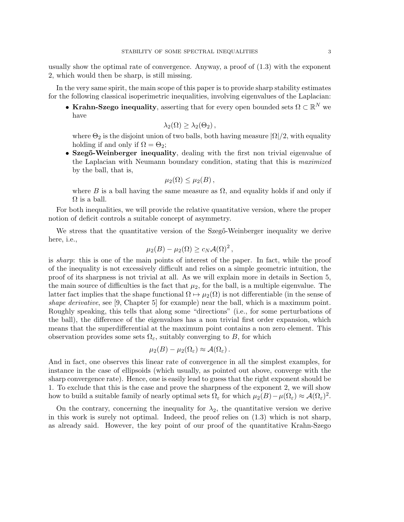usually show the optimal rate of convergence. Anyway, a proof of (1.3) with the exponent 2, which would then be sharp, is still missing.

In the very same spirit, the main scope of this paper is to provide sharp stability estimates for the following classical isoperimetric inequalities, involving eigenvalues of the Laplacian:

• Krahn-Szego inequality, asserting that for every open bounded sets  $\Omega \subset \mathbb{R}^N$  we have

$$
\lambda_2(\Omega) \geq \lambda_2(\Theta_2),
$$

where  $\Theta_2$  is the disjoint union of two balls, both having measure  $|\Omega|/2$ , with equality holding if and only if  $\Omega = \Theta_2$ ;

• Szegő-Weinberger inequality, dealing with the first non trivial eigenvalue of the Laplacian with Neumann boundary condition, stating that this is maximized by the ball, that is,

$$
\mu_2(\Omega) \leq \mu_2(B)\,,
$$

where B is a ball having the same measure as  $\Omega$ , and equality holds if and only if  $\Omega$  is a ball.

For both inequalities, we will provide the relative quantitative version, where the proper notion of deficit controls a suitable concept of asymmetry.

We stress that the quantitative version of the Szeg<sub></sub><sup>o-</sup>Weinberger inequality we derive here, i.e.,

$$
\mu_2(B) - \mu_2(\Omega) \ge c_N \mathcal{A}(\Omega)^2,
$$

is sharp: this is one of the main points of interest of the paper. In fact, while the proof of the inequality is not excessively difficult and relies on a simple geometric intuition, the proof of its sharpness is not trivial at all. As we will explain more in details in Section 5, the main source of difficulties is the fact that  $\mu_2$ , for the ball, is a multiple eigenvalue. The latter fact implies that the shape functional  $\Omega \mapsto \mu_2(\Omega)$  is not differentiable (in the sense of shape derivative, see [9, Chapter 5] for example) near the ball, which is a maximum point. Roughly speaking, this tells that along some "directions" (i.e., for some perturbations of the ball), the difference of the eigenvalues has a non trivial first order expansion, which means that the superdifferential at the maximum point contains a non zero element. This observation provides some sets  $\Omega_{\varepsilon}$ , suitably converging to B, for which

$$
\mu_2(B)-\mu_2(\Omega_{\varepsilon})\approx \mathcal{A}(\Omega_{\varepsilon}).
$$

And in fact, one observes this linear rate of convergence in all the simplest examples, for instance in the case of ellipsoids (which usually, as pointed out above, converge with the sharp convergence rate). Hence, one is easily lead to guess that the right exponent should be 1. To exclude that this is the case and prove the sharpness of the exponent 2, we will show how to build a suitable family of nearly optimal sets  $\Omega_{\varepsilon}$  for which  $\mu_2(B) - \mu(\Omega_{\varepsilon}) \approx \mathcal{A}(\Omega_{\varepsilon})^2$ .

On the contrary, concerning the inequality for  $\lambda_2$ , the quantitative version we derive in this work is surely not optimal. Indeed, the proof relies on (1.3) which is not sharp, as already said. However, the key point of our proof of the quantitative Krahn-Szego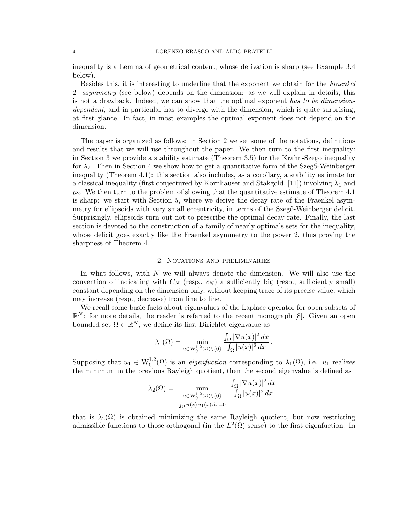inequality is a Lemma of geometrical content, whose derivation is sharp (see Example 3.4 below).

Besides this, it is interesting to underline that the exponent we obtain for the Fraenkel  $2-asyymmetry$  (see below) depends on the dimension: as we will explain in details, this is not a drawback. Indeed, we can show that the optimal exponent has to be dimensiondependent, and in particular has to diverge with the dimension, which is quite surprising, at first glance. In fact, in most examples the optimal exponent does not depend on the dimension.

The paper is organized as follows: in Section 2 we set some of the notations, definitions and results that we will use throughout the paper. We then turn to the first inequality: in Section 3 we provide a stability estimate (Theorem 3.5) for the Krahn-Szego inequality for  $\lambda_2$ . Then in Section 4 we show how to get a quantitative form of the Szeg $\ddot{\text{o}}$ -Weinberger inequality (Theorem 4.1): this section also includes, as a corollary, a stability estimate for a classical inequality (first conjectured by Kornhauser and Stakgold, [11]) involving  $\lambda_1$  and  $\mu_2$ . We then turn to the problem of showing that the quantitative estimate of Theorem 4.1 is sharp: we start with Section 5, where we derive the decay rate of the Fraenkel asymmetry for ellipsoids with very small eccentricity, in terms of the Szegő-Weinberger deficit. Surprisingly, ellipsoids turn out not to prescribe the optimal decay rate. Finally, the last section is devoted to the construction of a family of nearly optimals sets for the inequality, whose deficit goes exactly like the Fraenkel asymmetry to the power 2, thus proving the sharpness of Theorem 4.1.

# 2. Notations and preliminaries

In what follows, with  $N$  we will always denote the dimension. We will also use the convention of indicating with  $C_N$  (resp.,  $c_N$ ) a sufficiently big (resp., sufficiently small) constant depending on the dimension only, without keeping trace of its precise value, which may increase (resp., decrease) from line to line.

We recall some basic facts about eigenvalues of the Laplace operator for open subsets of  $\mathbb{R}^N$ : for more details, the reader is referred to the recent monograph [8]. Given an open bounded set  $\Omega \subset \mathbb{R}^N$ , we define its first Dirichlet eigenvalue as

$$
\lambda_1(\Omega) = \min_{u \in \mathcal{W}_0^{1,2}(\Omega) \backslash \{0\}} \frac{\int_{\Omega} |\nabla u(x)|^2 dx}{\int_{\Omega} |u(x)|^2 dx}.
$$

Supposing that  $u_1 \in W_0^{1,2}(\Omega)$  is an *eigenfuction* corresponding to  $\lambda_1(\Omega)$ , i.e.  $u_1$  realizes the minimum in the previous Rayleigh quotient, then the second eigenvalue is defined as

$$
\lambda_2(\Omega) = \min_{\substack{u \in \mathcal{W}_0^{1,2}(\Omega) \setminus \{0\} \\ \int_{\Omega} u(x) u_1(x) dx = 0}} \frac{\int_{\Omega} |\nabla u(x)|^2 dx}{\int_{\Omega} |u(x)|^2 dx},
$$

that is  $\lambda_2(\Omega)$  is obtained minimizing the same Rayleigh quotient, but now restricting admissible functions to those orthogonal (in the  $L^2(\Omega)$  sense) to the first eigenfuction. In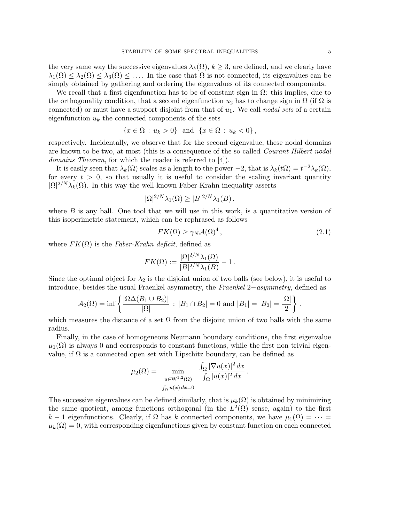the very same way the successive eigenvalues  $\lambda_k(\Omega)$ ,  $k \geq 3$ , are defined, and we clearly have  $\lambda_1(\Omega) \leq \lambda_2(\Omega) \leq \lambda_3(\Omega) \leq \ldots$  In the case that  $\Omega$  is not connected, its eigenvalues can be simply obtained by gathering and ordering the eigenvalues of its connected components.

We recall that a first eigenfunction has to be of constant sign in  $\Omega$ : this implies, due to the orthogonality condition, that a second eigenfunction  $u_2$  has to change sign in  $\Omega$  (if  $\Omega$  is connected) or must have a support disjoint from that of  $u_1$ . We call nodal sets of a certain eigenfunction  $u_k$  the connected components of the sets

$$
\{x \in \Omega : u_k > 0\} \text{ and } \{x \in \Omega : u_k < 0\},\
$$

respectively. Incidentally, we observe that for the second eigenvalue, these nodal domains are known to be two, at most (this is a consequence of the so called Courant-Hilbert nodal domains Theorem, for which the reader is referred to [4]).

It is easily seen that  $\lambda_k(\Omega)$  scales as a length to the power  $-2$ , that is  $\lambda_k(t\Omega) = t^{-2}\lambda_k(\Omega)$ , for every  $t > 0$ , so that usually it is useful to consider the scaling invariant quantity  $|\Omega|^{2/N}\lambda_k(\Omega)$ . In this way the well-known Faber-Krahn inequality asserts

$$
|\Omega|^{2/N}\lambda_1(\Omega) \ge |B|^{2/N}\lambda_1(B),
$$

where  $B$  is any ball. One tool that we will use in this work, is a quantitative version of this isoperimetric statement, which can be rephrased as follows

$$
FK(\Omega) \ge \gamma_N \mathcal{A}(\Omega)^4, \tag{2.1}
$$

where  $FK(\Omega)$  is the Faber-Krahn deficit, defined as

$$
FK(\Omega) := \frac{|\Omega|^{2/N} \lambda_1(\Omega)}{|B|^{2/N} \lambda_1(B)} - 1.
$$

Since the optimal object for  $\lambda_2$  is the disjoint union of two balls (see below), it is useful to introduce, besides the usual Fraenkel asymmetry, the Fraenkel 2−asymmetry, defined as

$$
\mathcal{A}_2(\Omega) = \inf \left\{ \frac{|\Omega \Delta(B_1 \cup B_2)|}{|\Omega|} : |B_1 \cap B_2| = 0 \text{ and } |B_1| = |B_2| = \frac{|\Omega|}{2} \right\},\
$$

which measures the distance of a set  $\Omega$  from the disjoint union of two balls with the same radius.

Finally, in the case of homogeneous Neumann boundary conditions, the first eigenvalue  $\mu_1(\Omega)$  is always 0 and corresponds to constant functions, while the first non trivial eigenvalue, if  $\Omega$  is a connected open set with Lipschitz boundary, can be defined as

$$
\mu_2(\Omega) = \min_{\substack{u \in \mathcal{W}^{1,2}(\Omega) \\ \int_{\Omega} u(x) dx = 0}} \frac{\int_{\Omega} |\nabla u(x)|^2 dx}{\int_{\Omega} |u(x)|^2 dx}.
$$

The successive eigenvalues can be defined similarly, that is  $\mu_k(\Omega)$  is obtained by minimizing the same quotient, among functions orthogonal (in the  $L^2(\Omega)$  sense, again) to the first k − 1 eigenfunctions. Clearly, if  $\Omega$  has k connected components, we have  $\mu_1(\Omega) = \cdots =$  $\mu_k(\Omega) = 0$ , with corresponding eigenfunctions given by constant function on each connected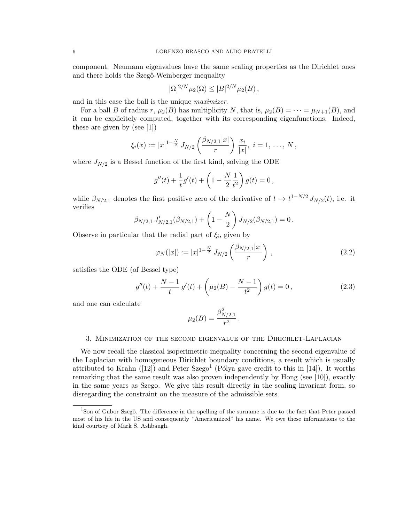component. Neumann eigenvalues have the same scaling properties as the Dirichlet ones and there holds the Szegő-Weinberger inequality

$$
|\Omega|^{2/N} \mu_2(\Omega) \le |B|^{2/N} \mu_2(B) \,,
$$

and in this case the ball is the unique maximizer.

For a ball B of radius r,  $\mu_2(B)$  has multiplicity N, that is,  $\mu_2(B) = \cdots = \mu_{N+1}(B)$ , and it can be explicitely computed, together with its corresponding eigenfunctions. Indeed, these are given by (see [1])

$$
\xi_i(x) := |x|^{1-\frac{N}{2}} J_{N/2}\left(\frac{\beta_{N/2,1}|x|}{r}\right) \frac{x_i}{|x|}, i = 1, \ldots, N,
$$

where  $J_{N/2}$  is a Bessel function of the first kind, solving the ODE

$$
g''(t) + \frac{1}{t}g'(t) + \left(1 - \frac{N}{2}\frac{1}{t^2}\right)g(t) = 0,
$$

while  $\beta_{N/2,1}$  denotes the first positive zero of the derivative of  $t \mapsto t^{1-N/2} J_{N/2}(t)$ , i.e. it verifies

$$
\beta_{N/2,1} J'_{N/2,1}(\beta_{N/2,1}) + \left(1 - \frac{N}{2}\right) J_{N/2}(\beta_{N/2,1}) = 0.
$$

Observe in particular that the radial part of  $\xi_i$ , given by

$$
\varphi_N(|x|) := |x|^{1-\frac{N}{2}} J_{N/2}\left(\frac{\beta_{N/2,1}|x|}{r}\right),\tag{2.2}
$$

satisfies the ODE (of Bessel type)

$$
g''(t) + \frac{N-1}{t}g'(t) + \left(\mu_2(B) - \frac{N-1}{t^2}\right)g(t) = 0,
$$
\n(2.3)

.

and one can calculate

$$
\mu_2(B)=\frac{\beta_{N/2,1}^2}{r^2}
$$

#### 3. Minimization of the second eigenvalue of the Dirichlet-Laplacian

We now recall the classical isoperimetric inequality concerning the second eigenvalue of the Laplacian with homogeneous Dirichlet boundary conditions, a result which is usually attributed to Krahn ([12]) and Peter Szego<sup>1</sup> (Pólya gave credit to this in [14]). It worths remarking that the same result was also proven independently by Hong (see [10]), exactly in the same years as Szego. We give this result directly in the scaling invariant form, so disregarding the constraint on the measure of the admissible sets.

<sup>&</sup>lt;sup>1</sup>Son of Gabor Szegő. The difference in the spelling of the surname is due to the fact that Peter passed most of his life in the US and consequently "Americanized" his name. We owe these informations to the kind courtsey of Mark S. Ashbaugh.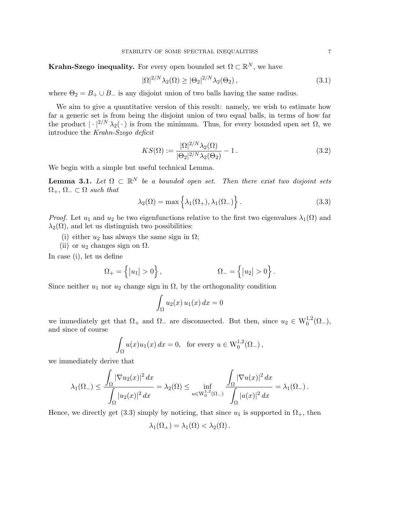**Krahn-Szego inequality.** For every open bounded set  $\Omega \subset \mathbb{R}^N$ , we have

$$
|\Omega|^{2/N}\lambda_2(\Omega) \ge |\Theta_2|^{2/N}\lambda_2(\Theta_2),\tag{3.1}
$$

where  $\Theta_2 = B_+ \cup B_-$  is any disjoint union of two balls having the same radius.

We aim to give a quantitative version of this result: namely, we wish to estimate how far a generic set is from being the disjoint union of two equal balls, in terms of how far the product  $|\cdot|^{2/N} \lambda_2(\cdot)$  is from the minimum. Thus, for every bounded open set  $\Omega$ , we introduce the Krahn-Szego deficit

$$
KS(\Omega) := \frac{|\Omega|^{2/N} \lambda_2(\Omega)}{|\Theta_2|^{2/N} \lambda_2(\Theta_2)} - 1.
$$
\n(3.2)

We begin with a simple but useful technical Lemma.

**Lemma 3.1.** Let  $\Omega \subset \mathbb{R}^N$  be a bounded open set. Then there exist two disjoint sets  $\Omega_+$ ,  $\Omega_- \subset \Omega$  such that

$$
\lambda_2(\Omega) = \max \left\{ \lambda_1(\Omega_+), \lambda_1(\Omega_-) \right\}.
$$
 (3.3)

*Proof.* Let  $u_1$  and  $u_2$  be two eigenfunctions relative to the first two eigenvalues  $\lambda_1(\Omega)$  and  $\lambda_2(\Omega)$ , and let us distinguish two possibilities:

- (i) either  $u_2$  has always the same sign in  $\Omega$ ;
- (ii) or  $u_2$  changes sign on  $\Omega$ .

In case (i), let us define

$$
\Omega_+ = \left\{ |u_1| > 0 \right\}, \qquad \Omega_- = \left\{ |u_2| > 0 \right\}.
$$

Since neither  $u_1$  nor  $u_2$  change sign in  $\Omega$ , by the orthogonality condition

$$
\int_{\Omega} u_2(x) u_1(x) dx = 0
$$

we immediately get that  $\Omega_+$  and  $\Omega_-$  are disconnected. But then, since  $u_2 \in W_0^{1,2}(\Omega_-)$ , and since of course

$$
\int_{\Omega} u(x)u_1(x) dx = 0, \text{ for every } u \in W_0^{1,2}(\Omega_-),
$$

we immediately derive that

$$
\lambda_1(\Omega_-) \leq \frac{\int_{\Omega} |\nabla u_2(x)|^2 dx}{\int_{\Omega} |u_2(x)|^2 dx} = \lambda_2(\Omega) \leq \inf_{u \in W_0^{1,2}(\Omega_-)} \frac{\int_{\Omega} |\nabla u(x)|^2 dx}{\int_{\Omega} |u(x)|^2 dx} = \lambda_1(\Omega_-).
$$

Hence, we directly get (3.3) simply by noticing, that since  $u_1$  is supported in  $\Omega_+$ , then

$$
\lambda_1(\Omega_+) = \lambda_1(\Omega) < \lambda_2(\Omega) \, .
$$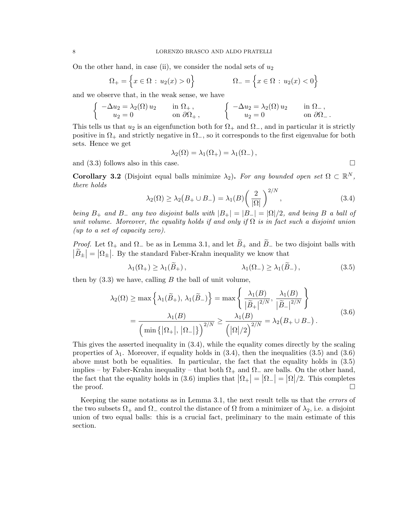On the other hand, in case (ii), we consider the nodal sets of  $u_2$ 

$$
\Omega_{+} = \left\{ x \in \Omega : u_2(x) > 0 \right\}
$$
\n $\Omega_{-} = \left\{ x \in \Omega : u_2(x) < 0 \right\}$ 

and we observe that, in the weak sense, we have

$$
\begin{cases}\n-\Delta u_2 = \lambda_2(\Omega) u_2 & \text{in } \Omega_+, \\
u_2 = 0 & \text{on } \partial\Omega_+, \n\end{cases}\n\qquad\n\begin{cases}\n-\Delta u_2 = \lambda_2(\Omega) u_2 & \text{in } \Omega_-, \\
u_2 = 0 & \text{on } \partial\Omega_-. \n\end{cases}
$$

This tells us that  $u_2$  is an eigenfunction both for  $\Omega_+$  and  $\Omega_-$ , and in particular it is strictly positive in  $\Omega_+$  and strictly negative in  $\Omega_-$ , so it corresponds to the first eigenvalue for both sets. Hence we get

$$
\lambda_2(\Omega) = \lambda_1(\Omega_+) = \lambda_1(\Omega_-),
$$

and  $(3.3)$  follows also in this case.

**Corollary 3.2** (Disjoint equal balls minimize  $\lambda_2$ ). For any bounded open set  $\Omega \subset \mathbb{R}^N$ , there holds

$$
\lambda_2(\Omega) \ge \lambda_2(B_+ \cup B_-) = \lambda_1(B) \left(\frac{2}{|\Omega|}\right)^{2/N},\tag{3.4}
$$

being  $B_+$  and  $B_-$  any two disjoint balls with  $|B_+| = |B_-| = |\Omega|/2$ , and being B a ball of unit volume. Moreover, the equality holds if and only if  $\Omega$  is in fact such a disjoint union (up to a set of capacity zero).

*Proof.* Let  $\Omega_+$  and  $\Omega_-$  be as in Lemma 3.1, and let  $\widetilde{B}_+$  and  $\widetilde{B}_-$  be two disjoint balls with  $|\tilde{B}_{\pm}| = |\Omega_{\pm}|$ . By the standard Faber-Krahn inequality we know that

$$
\lambda_1(\Omega_+) \ge \lambda_1(\tilde{B}_+), \qquad \lambda_1(\Omega_-) \ge \lambda_1(\tilde{B}_-), \qquad (3.5)
$$

then by  $(3.3)$  we have, calling B the ball of unit volume,

$$
\lambda_2(\Omega) \ge \max\left\{\lambda_1(\widetilde{B}_+), \lambda_1(\widetilde{B}_-)\right\} = \max\left\{\frac{\lambda_1(B)}{|\widetilde{B}_+|^{2/N}}, \frac{\lambda_1(B)}{|\widetilde{B}_-|^{2/N}}\right\}
$$
\n
$$
= \frac{\lambda_1(B)}{\left(\min\left\{|\Omega_+|, |\Omega_-|\right\}\right)^{2/N}} \ge \frac{\lambda_1(B)}{\left(|\Omega|/2\right)^{2/N}} = \lambda_2(B_+ \cup B_-). \tag{3.6}
$$

This gives the asserted inequality in (3.4), while the equality comes directly by the scaling properties of  $\lambda_1$ . Moreover, if equality holds in (3.4), then the inequalities (3.5) and (3.6) above must both be equalities. In particular, the fact that the equality holds in (3.5) implies – by Faber-Krahn inequality – that both  $\Omega_+$  and  $\Omega_-$  are balls. On the other hand, the fact that the equality holds in (3.6) implies that  $|\Omega_+| = |\Omega_-| = |\Omega|/2$ . This completes the proof.  $\Box$ 

Keeping the same notations as in Lemma 3.1, the next result tells us that the errors of the two subsets  $\Omega_+$  and  $\Omega_-$  control the distance of  $\Omega$  from a minimizer of  $\lambda_2$ , i.e. a disjoint union of two equal balls: this is a crucial fact, preliminary to the main estimate of this section.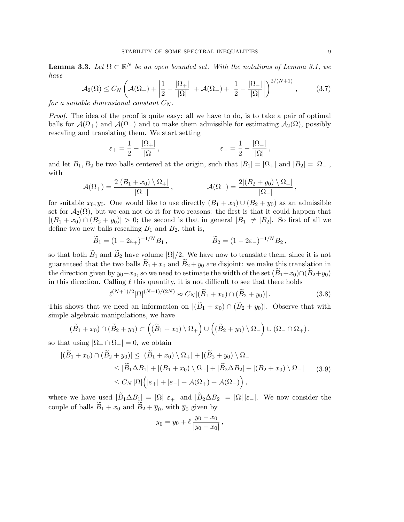**Lemma 3.3.** Let  $\Omega \subset \mathbb{R}^N$  be an open bounded set. With the notations of Lemma 3.1, we have

$$
\mathcal{A}_2(\Omega) \le C_N \left( \mathcal{A}(\Omega_+) + \left| \frac{1}{2} - \frac{|\Omega_+|}{|\Omega|} \right| + \mathcal{A}(\Omega_-) + \left| \frac{1}{2} - \frac{|\Omega_-|}{|\Omega|} \right| \right)^{2/(N+1)},\tag{3.7}
$$

for a suitable dimensional constant  $C_N$ .

Proof. The idea of the proof is quite easy: all we have to do, is to take a pair of optimal balls for  $\mathcal{A}(\Omega_+)$  and  $\mathcal{A}(\Omega_-)$  and to make them admissible for estimating  $\mathcal{A}_2(\Omega)$ , possibly rescaling and translating them. We start setting

$$
\varepsilon_+ = \frac{1}{2} - \frac{|\Omega_+|}{|\Omega|} \,, \qquad \varepsilon_- = \frac{1}{2} - \frac{|\Omega_-|}{|\Omega|} \,,
$$

and let  $B_1, B_2$  be two balls centered at the origin, such that  $|B_1| = |\Omega_+|$  and  $|B_2| = |\Omega_-|$ , with

$$
\mathcal{A}(\Omega_+) = \frac{2|(B_1+x_0)\setminus\Omega_+|}{|\Omega_+|}, \qquad \mathcal{A}(\Omega_-) = \frac{2|(B_2+y_0)\setminus\Omega_-|}{|\Omega_-|},
$$

for suitable  $x_0, y_0$ . One would like to use directly  $(B_1 + x_0) \cup (B_2 + y_0)$  as an admissible set for  $\mathcal{A}_2(\Omega)$ , but we can not do it for two reasons: the first is that it could happen that  $|(B_1+x_0) \cap (B_2+y_0)| > 0$ ; the second is that in general  $|B_1| \neq |B_2|$ . So first of all we define two new balls rescaling  $B_1$  and  $B_2$ , that is,

$$
\widetilde{B}_1 = (1 - 2\varepsilon_+)^{-1/N} B_1,
$$
\n $\widetilde{B}_2 = (1 - 2\varepsilon_-)^{-1/N} B_2,$ 

so that both  $\widetilde{B}_1$  and  $\widetilde{B}_2$  have volume  $|\Omega|/2$ . We have now to translate them, since it is not guaranteed that the two balls  $\widetilde{B}_1 + x_0$  and  $\widetilde{B}_2 + y_0$  are disjoint: we make this translation in the direction given by  $y_0-x_0$ , so we need to estimate the width of the set  $(B_1+x_0)\cap(B_2+y_0)$ in this direction. Calling  $\ell$  this quantity, it is not difficult to see that there holds

$$
\ell^{(N+1)/2} |\Omega|^{(N-1)/(2N)} \approx C_N |(\widetilde{B}_1 + x_0) \cap (\widetilde{B}_2 + y_0)|. \tag{3.8}
$$

This shows that we need an information on  $|(B_1 + x_0) \cap (B_2 + y_0)|$ . Observe that with simple algebraic manipulations, we have

$$
(\widetilde{B}_1 + x_0) \cap (\widetilde{B}_2 + y_0) \subset ((\widetilde{B}_1 + x_0) \setminus \Omega_+) \cup ((\widetilde{B}_2 + y_0) \setminus \Omega_-) \cup (\Omega_- \cap \Omega_+),
$$

so that using  $|\Omega_+ \cap \Omega_-| = 0$ , we obtain

$$
|(\widetilde{B}_1 + x_0) \cap (\widetilde{B}_2 + y_0)| \le |(\widetilde{B}_1 + x_0) \setminus \Omega_+| + |(\widetilde{B}_2 + y_0) \setminus \Omega_-|
$$
  
\n
$$
\le |\widetilde{B}_1 \Delta B_1| + |(B_1 + x_0) \setminus \Omega_+| + |\widetilde{B}_2 \Delta B_2| + |(B_2 + x_0) \setminus \Omega_-|
$$
  
\n
$$
\le C_N |\Omega| (|\varepsilon_+| + |\varepsilon_-| + \mathcal{A}(\Omega_+) + \mathcal{A}(\Omega_-)),
$$
\n(3.9)

where we have used  $|\widetilde{B}_1 \Delta B_1| = |\Omega| |\varepsilon_+|$  and  $|\widetilde{B}_2 \Delta B_2| = |\Omega| |\varepsilon_-|$ . We now consider the couple of balls  $B_1 + x_0$  and  $B_2 + \overline{y}_0$ , with  $\overline{y}_0$  given by

$$
\overline{y}_0 = y_0 + \ell \, \frac{y_0 - x_0}{|y_0 - x_0|} \,,
$$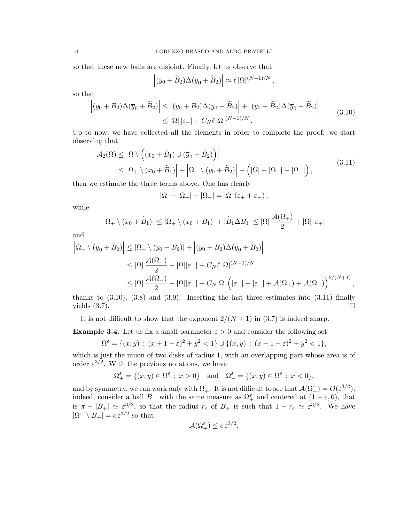so that these new balls are disjoint. Finally, let us observe that

$$
\left| (y_0 + \widetilde{B}_2) \Delta (\overline{y}_0 + \widetilde{B}_2) \right| \approx \ell |\Omega|^{(N-1)/N},
$$

so that

$$
\left| (y_0 + B_2) \Delta(\overline{y}_0 + \widetilde{B}_2) \right| \le \left| (y_0 + B_2) \Delta(y_0 + \widetilde{B}_2) \right| + \left| (y_0 + \widetilde{B}_2) \Delta(\overline{y}_0 + \widetilde{B}_2) \right|
$$
\n
$$
\le |\Omega| \left| \varepsilon_- \right| + C_N \ell |\Omega|^{(N-1)/N}.
$$
\n(3.10)

Up to now, we have collected all the elements in order to complete the proof: we start observing that

$$
\mathcal{A}_2(\Omega) \leq \left| \Omega \setminus \left( (x_0 + \widetilde{B}_1) \cup (\overline{y}_0 + \widetilde{B}_2) \right) \right|
$$
  
 
$$
\leq \left| \Omega_+ \setminus (x_0 + \widetilde{B}_1) \right| + \left| \Omega_- \setminus (y_0 + \widetilde{B}_2) \right| + \left( |\Omega| - |\Omega_+| - |\Omega_-| \right),
$$
 (3.11)

then we estimate the three terms above. One has clearly

$$
|\Omega|-|\Omega_+|-|\Omega_-|=|\Omega|\left(\varepsilon_++\varepsilon_-\right),
$$

while

$$
\left|\Omega_{+}\setminus(x_0+\widetilde{B}_1)\right|\leq \left|\Omega_{+}\setminus(x_0+B_1)\right|+\left|\widetilde{B}_1\Delta B_1\right|\leq \left|\Omega\right|\frac{\mathcal{A}(\Omega_{+})}{2}+\left|\Omega\right|\left|\varepsilon_{+}\right|
$$

and

$$
\left| \Omega_{-} \setminus (\overline{y}_{0} + \widetilde{B}_{2}) \right| \leq |\Omega_{-} \setminus (y_{0} + B_{2})| + \left| (y_{0} + B_{2})\Delta(\overline{y}_{0} + \widetilde{B}_{2}) \right|
$$
  
\n
$$
\leq |\Omega| \frac{\mathcal{A}(\Omega_{-})}{2} + |\Omega||\varepsilon_{-}| + C_{N} \ell |\Omega|^{(N-1)/N}
$$
  
\n
$$
\leq |\Omega| \frac{\mathcal{A}(\Omega_{-})}{2} + |\Omega||\varepsilon_{-}| + C_{N} |\Omega| \left( |\varepsilon_{+}| + |\varepsilon_{-}| + \mathcal{A}(\Omega_{+}) + \mathcal{A}(\Omega_{-}) \right)^{2/(N+1)},
$$

thanks to  $(3.10)$ ,  $(3.8)$  and  $(3.9)$ . Inserting the last three estimates into  $(3.11)$  finally yields  $(3.7)$ .

It is not difficult to show that the exponent  $2/(N+1)$  in (3.7) is indeed sharp.

**Example 3.4.** Let us fix a small parameter  $\varepsilon > 0$  and consider the following set

$$
\Omega^{\varepsilon} = \{(x, y) : (x + 1 - \varepsilon)^2 + y^2 < 1\} \cup \{(x, y) : (x - 1 + \varepsilon)^2 + y^2 < 1\},
$$

which is just the union of two disks of radius 1, with an overlapping part whose area is of order  $\varepsilon^{3/2}$ . With the previous notations, we have

$$
\Omega^{\varepsilon}_+=\{(x,y)\in \Omega^{\varepsilon} \, : \, x>0\} \quad \text{and} \quad \Omega^{\varepsilon}_-=\{(x,y)\in \Omega^{\varepsilon} \, : \, x<0\},
$$

and by symmetry, we can work only with  $\Omega_{+}^{\varepsilon}$ . It is not difficult to see that  $\mathcal{A}(\Omega_{+}^{\varepsilon}) = O(\varepsilon^{3/2})$ : indeed, consider a ball  $B_+$  with the same measure as  $\Omega_+^{\varepsilon}$  and centered at  $(1 - \varepsilon, 0)$ , that is  $\pi - |B_+| \simeq \varepsilon^{3/2}$ , so that the radius  $r_{\varepsilon}$  of  $B_+$  is such that  $1 - r_{\varepsilon} \simeq \varepsilon^{3/2}$ . We have  $|\Omega^{\varepsilon}_+ \setminus B_+| = c \, \varepsilon^{3/2}$  so that

$$
\mathcal{A}(\Omega_+^{\varepsilon}) \le c \, \varepsilon^{3/2}.
$$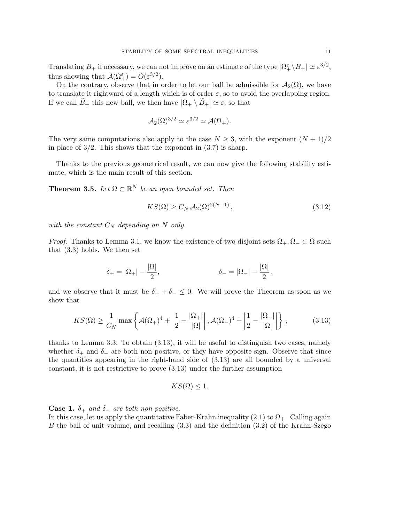Translating  $B_+$  if necessary, we can not improve on an estimate of the type  $|\Omega_+^{\varepsilon} \setminus B_+| \simeq \varepsilon^{3/2}$ , thus showing that  $\mathcal{A}(\Omega_+^{\varepsilon}) = O(\varepsilon^{3/2}).$ 

On the contrary, observe that in order to let our ball be admissible for  $\mathcal{A}_2(\Omega)$ , we have to translate it rightward of a length which is of order  $\varepsilon$ , so to avoid the overlapping region. If we call  $B_+$  this new ball, we then have  $|\Omega_+ \setminus B_+| \simeq \varepsilon$ , so that

$$
\mathcal{A}_2(\Omega)^{3/2} \simeq \varepsilon^{3/2} \simeq \mathcal{A}(\Omega_+).
$$

The very same computations also apply to the case  $N \geq 3$ , with the exponent  $(N+1)/2$ in place of  $3/2$ . This shows that the exponent in  $(3.7)$  is sharp.

Thanks to the previous geometrical result, we can now give the following stability estimate, which is the main result of this section.

**Theorem 3.5.** Let  $\Omega \subset \mathbb{R}^N$  be an open bounded set. Then

$$
KS(\Omega) \ge C_N \mathcal{A}_2(\Omega)^{2(N+1)},\tag{3.12}
$$

with the constant  $C_N$  depending on N only.

*Proof.* Thanks to Lemma 3.1, we know the existence of two disjoint sets  $\Omega_+$ ,  $\Omega_- \subset \Omega$  such that (3.3) holds. We then set

$$
\delta_+ = |\Omega_+| - \frac{|\Omega|}{2}, \qquad \qquad \delta_- = |\Omega_-| - \frac{|\Omega|}{2},
$$

and we observe that it must be  $\delta_+ + \delta_- \leq 0$ . We will prove the Theorem as soon as we show that

$$
KS(\Omega) \ge \frac{1}{C_N} \max \left\{ \mathcal{A}(\Omega_+)^4 + \left| \frac{1}{2} - \frac{|\Omega_+|}{|\Omega|} \right|, \mathcal{A}(\Omega_-)^4 + \left| \frac{1}{2} - \frac{|\Omega_-|}{|\Omega|} \right| \right\},\tag{3.13}
$$

thanks to Lemma 3.3. To obtain (3.13), it will be useful to distinguish two cases, namely whether  $\delta_+$  and  $\delta_-$  are both non positive, or they have opposite sign. Observe that since the quantities appearing in the right-hand side of (3.13) are all bounded by a universal constant, it is not restrictive to prove (3.13) under the further assumption

$$
KS(\Omega) \leq 1.
$$

**Case 1.**  $\delta_+$  and  $\delta_-$  are both non-positive.

In this case, let us apply the quantitative Faber-Krahn inequality  $(2.1)$  to  $\Omega_{+}$ . Calling again B the ball of unit volume, and recalling (3.3) and the definition (3.2) of the Krahn-Szego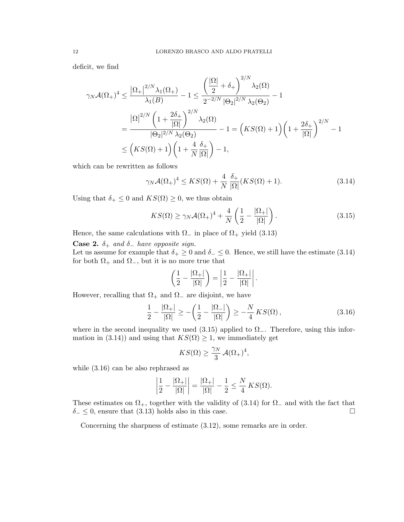deficit, we find

$$
\gamma_N \mathcal{A}(\Omega_+)^4 \le \frac{|\Omega_+|^{2/N} \lambda_1(\Omega_+)}{\lambda_1(B)} - 1 \le \frac{\left(\frac{|\Omega|}{2} + \delta_+\right)^{2/N} \lambda_2(\Omega)}{2^{-2/N} |\Theta_2|^{2/N} \lambda_2(\Theta_2)} - 1
$$
  

$$
= \frac{|\Omega|^{2/N} \left(1 + \frac{2\delta_+}{|\Omega|}\right)^{2/N} \lambda_2(\Omega)}{|\Theta_2|^{2/N} \lambda_2(\Theta_2)} - 1 = \left(KS(\Omega) + 1\right) \left(1 + \frac{2\delta_+}{|\Omega|}\right)^{2/N} - 1
$$
  

$$
\le \left(KS(\Omega) + 1\right) \left(1 + \frac{4}{N} \frac{\delta_+}{|\Omega|}\right) - 1,
$$

which can be rewritten as follows

$$
\gamma_N \mathcal{A}(\Omega_+)^4 \le KS(\Omega) + \frac{4}{N} \frac{\delta_+}{|\Omega|} (KS(\Omega) + 1). \tag{3.14}
$$

Using that  $\delta_+ \leq 0$  and  $KS(\Omega) \geq 0$ , we thus obtain

$$
KS(\Omega) \ge \gamma_N \mathcal{A}(\Omega_+)^4 + \frac{4}{N} \left( \frac{1}{2} - \frac{|\Omega_+|}{|\Omega|} \right). \tag{3.15}
$$

Hence, the same calculations with  $\Omega_{-}$  in place of  $\Omega_{+}$  yield (3.13)

Case 2.  $\delta_+$  and  $\delta_-$  have opposite sign.

Let us assume for example that  $\delta_+ \geq 0$  and  $\delta_- \leq 0$ . Hence, we still have the estimate (3.14) for both  $\Omega_+$  and  $\Omega_-$ , but it is no more true that

$$
\left(\frac{1}{2} - \frac{|\Omega_+|}{|\Omega|}\right) = \left|\frac{1}{2} - \frac{|\Omega_+|}{|\Omega|}\right|.
$$

However, recalling that  $\Omega_+$  and  $\Omega_-$  are disjoint, we have

$$
\frac{1}{2} - \frac{|\Omega_+|}{|\Omega|} \ge -\left(\frac{1}{2} - \frac{|\Omega_-|}{|\Omega|}\right) \ge -\frac{N}{4} K S(\Omega),\tag{3.16}
$$

where in the second inequality we used  $(3.15)$  applied to  $\Omega_{-}$ . Therefore, using this information in (3.14)) and using that  $KS(\Omega) \geq 1$ , we immediately get

$$
KS(\Omega) \ge \frac{\gamma_N}{3} \mathcal{A}(\Omega_+)^4,
$$

while (3.16) can be also rephrased as

$$
\left|\frac{1}{2} - \frac{|\Omega_+|}{|\Omega|}\right| = \frac{|\Omega_+|}{|\Omega|} - \frac{1}{2} \le \frac{N}{4} KS(\Omega).
$$

These estimates on  $\Omega_+$ , together with the validity of (3.14) for  $\Omega_-$  and with the fact that  $\delta_-\leq 0$ , ensure that (3.13) holds also in this case.

Concerning the sharpness of estimate (3.12), some remarks are in order.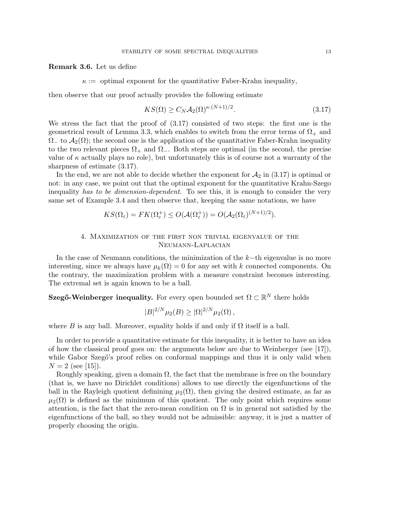Remark 3.6. Let us define

 $\kappa :=$  optimal exponent for the quantitative Faber-Krahn inequality,

then observe that our proof actually provides the following estimate

$$
KS(\Omega) \ge C_N \mathcal{A}_2(\Omega)^{\kappa \cdot (N+1)/2}.
$$
\n(3.17)

We stress the fact that the proof of (3.17) consisted of two steps: the first one is the geometrical result of Lemma 3.3, which enables to switch from the error terms of  $\Omega_{+}$  and  $\Omega_{-}$  to  $\mathcal{A}_2(\Omega)$ ; the second one is the application of the quantitative Faber-Krahn inequality to the two relevant pieces  $\Omega_+$  and  $\Omega_-$ . Both steps are optimal (in the second, the precise value of  $\kappa$  actually plays no role), but unfortunately this is of course not a warranty of the sharpness of estimate (3.17).

In the end, we are not able to decide whether the exponent for  $\mathcal{A}_2$  in (3.17) is optimal or not: in any case, we point out that the optimal exponent for the quantitative Krahn-Szego inequality has to be dimension-dependent. To see this, it is enough to consider the very same set of Example 3.4 and then observe that, keeping the same notations, we have

$$
KS(\Omega_{\varepsilon}) = FK(\Omega_{\varepsilon}^{+}) \le O(\mathcal{A}(\Omega_{\varepsilon}^{+})) = O(\mathcal{A}_{2}(\Omega_{\varepsilon})^{(N+1)/2}).
$$

# 4. Maximization of the first non trivial eigenvalue of the Neumann-Laplacian

In the case of Neumann conditions, the minimization of the k−th eigenvalue is no more interesting, since we always have  $\mu_k(\Omega) = 0$  for any set with k connected components. On the contrary, the maximization problem with a measure constraint becomes interesting. The extremal set is again known to be a ball.

Szegő-Weinberger inequality. For every open bounded set  $\Omega \subset \mathbb{R}^N$  there holds

$$
|B|^{2/N} \mu_2(B) \geq |\Omega|^{2/N} \mu_2(\Omega) ,
$$

where B is any ball. Moreover, equality holds if and only if  $\Omega$  itself is a ball.

In order to provide a quantitative estimate for this inequality, it is better to have an idea of how the classical proof goes on: the arguments below are due to Weinberger (see [17]), while Gabor Szegő's proof relies on conformal mappings and thus it is only valid when  $N = 2$  (see [15]).

Roughly speaking, given a domain  $\Omega$ , the fact that the membrane is free on the boundary (that is, we have no Dirichlet conditions) allows to use directly the eigenfunctions of the ball in the Rayleigh quotient definining  $\mu_2(\Omega)$ , then giving the desired estimate, as far as  $\mu_2(\Omega)$  is defined as the minimum of this quotient. The only point which requires some attention, is the fact that the zero-mean condition on  $\Omega$  is in general not satisfied by the eigenfunctions of the ball, so they would not be admissible: anyway, it is just a matter of properly choosing the origin.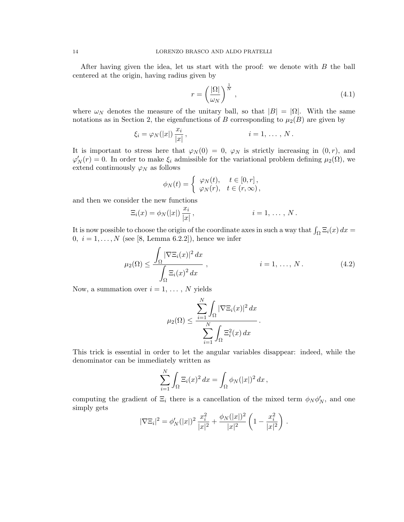After having given the idea, let us start with the proof: we denote with B the ball centered at the origin, having radius given by

$$
r = \left(\frac{|\Omega|}{\omega_N}\right)^{\frac{1}{N}},\tag{4.1}
$$

where  $\omega_N$  denotes the measure of the unitary ball, so that  $|B| = |\Omega|$ . With the same notations as in Section 2, the eigenfunctions of B corresponding to  $\mu_2(B)$  are given by

$$
\xi_i = \varphi_N(|x|) \frac{x_i}{|x|}, \qquad i = 1, \ldots, N.
$$

It is important to stress here that  $\varphi_N(0) = 0$ ,  $\varphi_N$  is strictly increasing in  $(0, r)$ , and  $\varphi'_N(r) = 0$ . In order to make  $\xi_i$  admissible for the variational problem defining  $\mu_2(\Omega)$ , we extend continuously  $\varphi_N$  as follows

$$
\phi_N(t) = \begin{cases} \varphi_N(t), & t \in [0, r], \\ \varphi_N(r), & t \in (r, \infty), \end{cases}
$$

and then we consider the new functions

$$
\Xi_i(x) = \phi_N(|x|) \frac{x_i}{|x|}, \qquad i = 1, \ldots, N.
$$

It is now possible to choose the origin of the coordinate axes in such a way that  $\int_{\Omega} \Xi_i(x) dx =$ 0,  $i = 1, ..., N$  (see [8, Lemma 6.2.2]), hence we infer

$$
\mu_2(\Omega) \le \frac{\int_{\Omega} |\nabla \Xi_i(x)|^2 dx}{\int_{\Omega} \Xi_i(x)^2 dx}, \qquad i = 1, ..., N. \qquad (4.2)
$$

.

Now, a summation over  $i = 1, \ldots, N$  yields

$$
\mu_2(\Omega) \le \frac{\sum_{i=1}^N \int_{\Omega} |\nabla \Xi_i(x)|^2 dx}{\sum_{i=1}^N \int_{\Omega} \Xi_i^2(x) dx}
$$

This trick is essential in order to let the angular variables disappear: indeed, while the denominator can be immediately written as

$$
\sum_{i=1}^N \int_{\Omega} \Xi_i(x)^2 dx = \int_{\Omega} \phi_N(|x|)^2 dx,
$$

computing the gradient of  $\Xi_i$  there is a cancellation of the mixed term  $\phi_N \phi'_N$ , and one simply gets

$$
|\nabla \Xi_i|^2 = \phi'_N(|x|)^2 \frac{x_i^2}{|x|^2} + \frac{\phi_N(|x|)^2}{|x|^2} \left(1 - \frac{x_i^2}{|x|^2}\right).
$$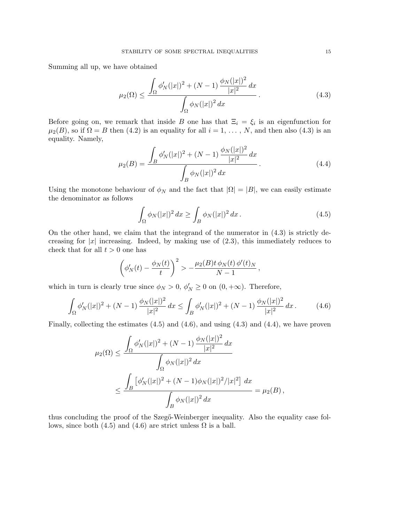Summing all up, we have obtained

$$
\mu_2(\Omega) \le \frac{\int_{\Omega} \phi'_N(|x|)^2 + (N-1)\frac{\phi_N(|x|)^2}{|x|^2} dx}{\int_{\Omega} \phi_N(|x|)^2 dx}.
$$
\n(4.3)

Before going on, we remark that inside B one has that  $\Xi_i = \xi_i$  is an eigenfunction for  $\mu_2(B)$ , so if  $\Omega = B$  then (4.2) is an equality for all  $i = 1, \ldots, N$ , and then also (4.3) is an equality. Namely,

$$
\mu_2(B) = \frac{\int_B \phi'_N(|x|)^2 + (N-1)\frac{\phi_N(|x|)^2}{|x|^2} dx}{\int_B \phi_N(|x|)^2 dx}.
$$
\n(4.4)

Using the monotone behaviour of  $\phi_N$  and the fact that  $|\Omega| = |B|$ , we can easily estimate the denominator as follows

$$
\int_{\Omega} \phi_N(|x|)^2 dx \ge \int_B \phi_N(|x|)^2 dx.
$$
\n(4.5)

On the other hand, we claim that the integrand of the numerator in  $(4.3)$  is strictly decreasing for  $|x|$  increasing. Indeed, by making use of  $(2.3)$ , this immediately reduces to check that for all  $t > 0$  one has

$$
\left(\phi'_N(t) - \frac{\phi_N(t)}{t}\right)^2 > -\frac{\mu_2(B)t \phi_N(t) \phi'(t)_N}{N-1},
$$

which in turn is clearly true since  $\phi_N > 0$ ,  $\phi'_N \ge 0$  on  $(0, +\infty)$ . Therefore,

$$
\int_{\Omega} \phi'_N(|x|)^2 + (N-1) \frac{\phi_N(|x|)^2}{|x|^2} dx \le \int_B \phi'_N(|x|)^2 + (N-1) \frac{\phi_N(|x|)^2}{|x|^2} dx. \tag{4.6}
$$

Finally, collecting the estimates (4.5) and (4.6), and using (4.3) and (4.4), we have proven

$$
\mu_2(\Omega) \le \frac{\int_{\Omega} \phi'_N(|x|)^2 + (N-1) \frac{\phi_N(|x|)^2}{|x|^2} dx}{\int_{\Omega} \phi_N(|x|)^2 dx}
$$
  

$$
\le \frac{\int_{B} [\phi'_N(|x|)^2 + (N-1)\phi_N(|x|)^2/|x|^2] dx}{\int_{B} \phi_N(|x|)^2 dx} = \mu_2(B),
$$

thus concluding the proof of the Szegő-Weinberger inequality. Also the equality case follows, since both (4.5) and (4.6) are strict unless  $\Omega$  is a ball.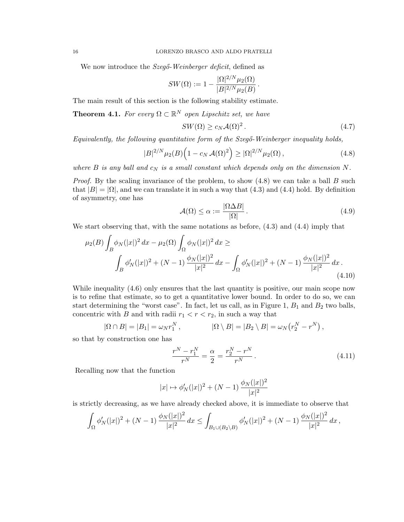We now introduce the Szegő-Weinberger deficit, defined as

$$
SW(\Omega) := 1 - \frac{|\Omega|^{2/N} \mu_2(\Omega)}{|B|^{2/N} \mu_2(B)}
$$

The main result of this section is the following stability estimate.

**Theorem 4.1.** For every  $\Omega \subset \mathbb{R}^N$  open Lipschitz set, we have

$$
SW(\Omega) \ge c_N \mathcal{A}(\Omega)^2. \tag{4.7}
$$

.

Equivalently, the following quantitative form of the  $Sz$ eg $\delta$ -Weinberger inequality holds,

$$
|B|^{2/N} \mu_2(B) \left( 1 - c_N \mathcal{A}(\Omega)^2 \right) \geq |\Omega|^{2/N} \mu_2(\Omega) \,, \tag{4.8}
$$

where B is any ball and  $c_N$  is a small constant which depends only on the dimension N.

*Proof.* By the scaling invariance of the problem, to show  $(4.8)$  we can take a ball B such that  $|B| = |\Omega|$ , and we can translate it in such a way that  $(4.3)$  and  $(4.4)$  hold. By definition of asymmetry, one has

$$
\mathcal{A}(\Omega) \le \alpha := \frac{|\Omega \Delta B|}{|\Omega|} \,. \tag{4.9}
$$

We start observing that, with the same notations as before, (4.3) and (4.4) imply that

$$
\mu_2(B) \int_B \phi_N(|x|)^2 dx - \mu_2(\Omega) \int_{\Omega} \phi_N(|x|)^2 dx \ge
$$
  

$$
\int_B \phi'_N(|x|)^2 + (N-1) \frac{\phi_N(|x|)^2}{|x|^2} dx - \int_{\Omega} \phi'_N(|x|)^2 + (N-1) \frac{\phi_N(|x|)^2}{|x|^2} dx.
$$
\n(4.10)

While inequality (4.6) only ensures that the last quantity is positive, our main scope now is to refine that estimate, so to get a quantitative lower bound. In order to do so, we can start determining the "worst case". In fact, let us call, as in Figure 1,  $B_1$  and  $B_2$  two balls, concentric with B and with radii  $r_1 < r < r_2$ , in such a way that

$$
|\Omega \cap B| = |B_1| = \omega_N r_1^N, \qquad |\Omega \setminus B| = |B_2 \setminus B| = \omega_N (r_2^N - r^N),
$$

so that by construction one has

$$
\frac{r^N - r_1^N}{r^N} = \frac{\alpha}{2} = \frac{r_2^N - r^N}{r^N}.
$$
\n(4.11)

Recalling now that the function

$$
|x| \mapsto \phi_N'(|x|)^2 + (N-1) \, \frac{\phi_N(|x|)^2}{|x|^2}
$$

is strictly decreasing, as we have already checked above, it is immediate to observe that

$$
\int_{\Omega} \phi'_N(|x|)^2 + (N-1) \frac{\phi_N(|x|)^2}{|x|^2} dx \le \int_{B_1 \cup (B_2 \setminus B)} \phi'_N(|x|)^2 + (N-1) \frac{\phi_N(|x|)^2}{|x|^2} dx,
$$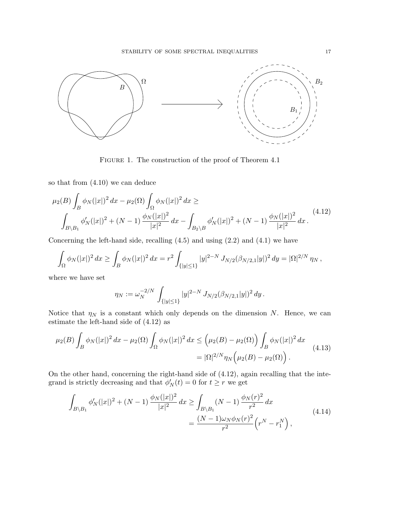

FIGURE 1. The construction of the proof of Theorem 4.1

so that from (4.10) we can deduce

$$
\mu_2(B) \int_B \phi_N(|x|)^2 dx - \mu_2(\Omega) \int_{\Omega} \phi_N(|x|)^2 dx \ge
$$
\n
$$
\int_{B \setminus B_1} \phi'_N(|x|)^2 + (N-1) \frac{\phi_N(|x|)^2}{|x|^2} dx - \int_{B_2 \setminus B} \phi'_N(|x|)^2 + (N-1) \frac{\phi_N(|x|)^2}{|x|^2} dx.
$$
\n(4.12)

Concerning the left-hand side, recalling  $(4.5)$  and using  $(2.2)$  and  $(4.1)$  we have

$$
\int_{\Omega} \phi_N(|x|)^2 dx \ge \int_B \phi_N(|x|)^2 dx = r^2 \int_{\{|y| \le 1\}} |y|^{2-N} J_{N/2}(\beta_{N/2,1}|y|)^2 dy = |\Omega|^{2/N} \eta_N,
$$

where we have set

$$
\eta_N := \omega_N^{-2/N} \int_{\{|y| \le 1\}} |y|^{2-N} J_{N/2}(\beta_{N/2,1}|y|)^2 dy.
$$

Notice that  $\eta_N$  is a constant which only depends on the dimension N. Hence, we can estimate the left-hand side of (4.12) as

$$
\mu_2(B) \int_B \phi_N(|x|)^2 dx - \mu_2(\Omega) \int_{\Omega} \phi_N(|x|)^2 dx \le (\mu_2(B) - \mu_2(\Omega)) \int_B \phi_N(|x|)^2 dx
$$
  
=  $|\Omega|^{2/N} \eta_N(\mu_2(B) - \mu_2(\Omega)).$  (4.13)

On the other hand, concerning the right-hand side of (4.12), again recalling that the integrand is strictly decreasing and that  $\phi_N'(t) = 0$  for  $t \geq r$  we get

$$
\int_{B\setminus B_1} \phi'_N(|x|)^2 + (N-1) \frac{\phi_N(|x|)^2}{|x|^2} dx \ge \int_{B\setminus B_1} (N-1) \frac{\phi_N(r)^2}{r^2} dx
$$
\n
$$
= \frac{(N-1)\omega_N \phi_N(r)^2}{r^2} \left(r^N - r_1^N\right),
$$
\n(4.14)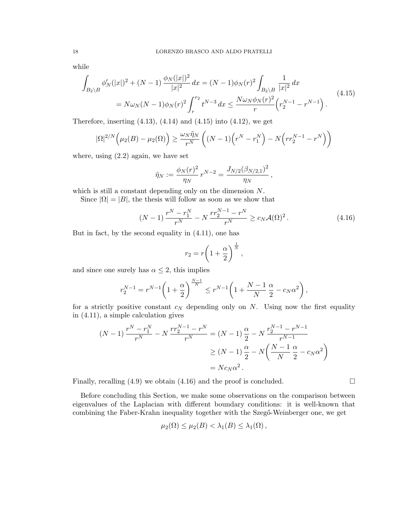while

$$
\int_{B_2 \setminus B} \phi'_N(|x|)^2 + (N-1) \frac{\phi_N(|x|)^2}{|x|^2} dx = (N-1)\phi_N(r)^2 \int_{B_2 \setminus B} \frac{1}{|x|^2} dx
$$
\n
$$
= N\omega_N(N-1)\phi_N(r)^2 \int_r^{r_2} t^{N-3} dx \le \frac{N\omega_N\phi_N(r)^2}{r} \left(r_2^{N-1} - r^{N-1}\right).
$$
\n(4.15)

Therefore, inserting  $(4.13)$ ,  $(4.14)$  and  $(4.15)$  into  $(4.12)$ , we get

$$
|\Omega|^{2/N}\left(\mu_2(B) - \mu_2(\Omega)\right) \ge \frac{\omega_N \tilde{\eta}_N}{r^N} \left( (N-1)\left(r^N - r_1^N\right) - N\left(r r_2^{N-1} - r^N\right)\right)
$$

where, using  $(2.2)$  again, we have set

$$
\tilde{\eta}_N := \frac{\phi_N(r)^2}{\eta_N} r^{N-2} = \frac{J_{N/2}(\beta_{N/2,1})^2}{\eta_N} ,
$$

which is still a constant depending only on the dimension  $N$ .

Since  $|\Omega| = |B|$ , the thesis will follow as soon as we show that

$$
(N-1)\frac{r^N - r_1^N}{r^N} - N\frac{rr_2^{N-1} - r^N}{r^N} \ge c_N \mathcal{A}(\Omega)^2.
$$
 (4.16)

But in fact, by the second equality in (4.11), one has

$$
r_2 = r \left( 1 + \frac{\alpha}{2} \right)^{\frac{1}{N}},
$$

and since one surely has  $\alpha \leq 2$ , this implies

$$
r_2^{N-1} = r^{N-1} \left( 1 + \frac{\alpha}{2} \right)^{\frac{N-1}{N}} \le r^{N-1} \left( 1 + \frac{N-1}{N} \frac{\alpha}{2} - c_N \alpha^2 \right),
$$

for a strictly positive constant  $c_N$  depending only on N. Using now the first equality in (4.11), a simple calculation gives

$$
(N-1)\frac{r^N - r_1^N}{r^N} - N\frac{rr_2^{N-1} - r^N}{r^N} = (N-1)\frac{\alpha}{2} - N\frac{r_2^{N-1} - r^{N-1}}{r^{N-1}}
$$

$$
\ge (N-1)\frac{\alpha}{2} - N\left(\frac{N-1}{N}\frac{\alpha}{2} - c_N\alpha^2\right)
$$

$$
= Nc_N\alpha^2.
$$

Finally, recalling  $(4.9)$  we obtain  $(4.16)$  and the proof is concluded.

Before concluding this Section, we make some observations on the comparison between eigenvalues of the Laplacian with different boundary conditions: it is well-known that combining the Faber-Krahn inequality together with the Szegő-Weinberger one, we get

$$
\mu_2(\Omega) \leq \mu_2(B) < \lambda_1(B) \leq \lambda_1(\Omega) \,,
$$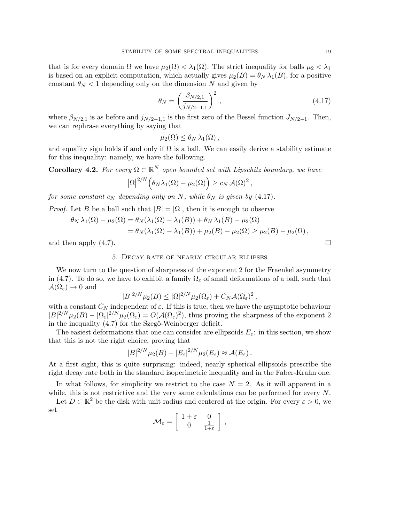that is for every domain  $\Omega$  we have  $\mu_2(\Omega) < \lambda_1(\Omega)$ . The strict inequality for balls  $\mu_2 < \lambda_1$ is based on an explicit computation, which actually gives  $\mu_2(B) = \theta_N \lambda_1(B)$ , for a positive constant  $\theta_N < 1$  depending only on the dimension N and given by

$$
\theta_N = \left(\frac{\beta_{N/2,1}}{j_{N/2-1,1}}\right)^2,\tag{4.17}
$$

where  $\beta_{N/2,1}$  is as before and  $j_{N/2-1,1}$  is the first zero of the Bessel function  $J_{N/2-1}$ . Then, we can rephrase everything by saying that

$$
\mu_2(\Omega) \leq \theta_N \lambda_1(\Omega) ,
$$

and equality sign holds if and only if  $\Omega$  is a ball. We can easily derive a stability estimate for this inequality: namely, we have the following.

**Corollary 4.2.** For every  $\Omega \subset \mathbb{R}^N$  open bounded set with Lipschitz boundary, we have

$$
|\Omega|^{2/N}\Big(\theta_N\lambda_1(\Omega)-\mu_2(\Omega)\Big)\geq c_N\,\mathcal{A}(\Omega)^2\,,
$$

for some constant  $c_N$  depending only on N, while  $\theta_N$  is given by (4.17).

*Proof.* Let B be a ball such that  $|B| = |\Omega|$ , then it is enough to observe

$$
\theta_N \lambda_1(\Omega) - \mu_2(\Omega) = \theta_N(\lambda_1(\Omega) - \lambda_1(B)) + \theta_N \lambda_1(B) - \mu_2(\Omega)
$$
  
=  $\theta_N(\lambda_1(\Omega) - \lambda_1(B)) + \mu_2(B) - \mu_2(\Omega) \ge \mu_2(B) - \mu_2(\Omega)$ ,

and then apply  $(4.7)$ .

## 5. Decay rate of nearly circular ellipses

We now turn to the question of sharpness of the exponent 2 for the Fraenkel asymmetry in (4.7). To do so, we have to exhibit a family  $\Omega_{\varepsilon}$  of small deformations of a ball, such that  $\mathcal{A}(\Omega_{\varepsilon}) \to 0$  and

$$
|B|^{2/N} \mu_2(B) \leq |\Omega|^{2/N} \mu_2(\Omega_{\varepsilon}) + C_N \mathcal{A}(\Omega_{\varepsilon})^2,
$$

with a constant  $C_N$  independent of  $\varepsilon$ . If this is true, then we have the asymptotic behaviour  $|B|^{2/N}\mu_2(B) - |\Omega_\varepsilon|^{2/N}\mu_2(\Omega_\varepsilon) = O(\mathcal{A}(\Omega_\varepsilon)^2)$ , thus proving the sharpness of the exponent 2 in the inequality  $(4.7)$  for the Szeg $\ddot{\text{o}}$ -Weinberger deficit.

The easiest deformations that one can consider are ellipsoids  $E_{\varepsilon}$ : in this section, we show that this is not the right choice, proving that

$$
|B|^{2/N}\mu_2(B)-|E_{\varepsilon}|^{2/N}\mu_2(E_{\varepsilon})\approx\mathcal{A}(E_{\varepsilon}).
$$

At a first sight, this is quite surprising: indeed, nearly spherical ellipsoids prescribe the right decay rate both in the standard isoperimetric inequality and in the Faber-Krahn one.

In what follows, for simplicity we restrict to the case  $N = 2$ . As it will apparent in a while, this is not restrictive and the very same calculations can be performed for every N.

Let  $D \subset \mathbb{R}^2$  be the disk with unit radius and centered at the origin. For every  $\varepsilon > 0$ , we set

$$
\mathcal{M}_{\varepsilon} = \left[ \begin{array}{cc} 1 + \varepsilon & 0 \\ 0 & \frac{1}{1 + \varepsilon} \end{array} \right],
$$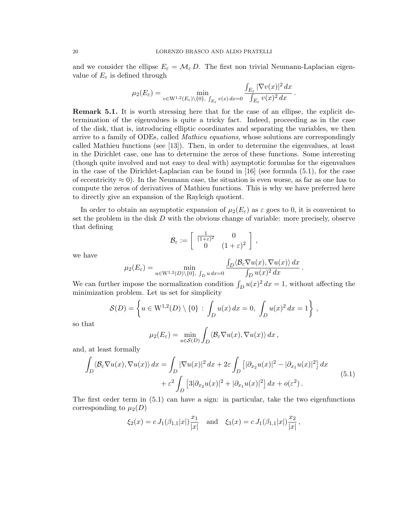and we consider the ellipse  $E_{\varepsilon} = \mathcal{M}_{\varepsilon} D$ . The first non trivial Neumann-Laplacian eigenvalue of  $E_{\varepsilon}$  is defined through

$$
\mu_2(E_{\varepsilon}) = \min_{v \in W^{1,2}(E_{\varepsilon}) \backslash \{0\}, \int_{E_{\varepsilon}} v(x) dx = 0} \frac{\int_{E_{\varepsilon}} |\nabla v(x)|^2 dx}{\int_{E_{\varepsilon}} v(x)^2 dx}.
$$

Remark 5.1. It is worth stressing here that for the case of an ellipse, the explicit determination of the eigenvalues is quite a tricky fact. Indeed, proceeding as in the case of the disk, that is, introducing elliptic coordinates and separating the variables, we then arrive to a family of ODEs, called Mathieu equations, whose solutions are correspondingly called Mathieu functions (see [13]). Then, in order to determine the eigenvalues, at least in the Dirichlet case, one has to determine the zeros of these functions. Some interesting (though quite involved and not easy to deal with) asymptotic formulas for the eigenvalues in the case of the Dirichlet-Laplacian can be found in [16] (see formula (5.1), for the case of eccentricity  $\approx 0$ ). In the Neumann case, the situation is even worse, as far as one has to compute the zeros of derivatives of Mathieu functions. This is why we have preferred here to directly give an expansion of the Rayleigh quotient.

In order to obtain an asymptotic expansion of  $\mu_2(E_{\varepsilon})$  as  $\varepsilon$  goes to 0, it is convenient to set the problem in the disk  $D$  with the obvious change of variable: more precisely, observe that defining

$$
\mathcal{B}_{\varepsilon} := \left[ \begin{array}{cc} \frac{1}{(1+\varepsilon)^2} & 0 \\ 0 & (1+\varepsilon)^2 \end{array} \right],
$$

.

we have

$$
\mu_2(E_{\varepsilon}) = \min_{u \in \mathcal{W}^{1,2}(D) \setminus \{0\}, \ f_D \ u \ dx = 0} \frac{\int_D \langle \mathcal{B}_{\varepsilon} \nabla u(x), \nabla u(x) \rangle \ dx}{\int_D u(x)^2 \ dx}
$$

We can further impose the normalization condition  $\int_D u(x)^2 dx = 1$ , without affecting the minimization problem. Let us set for simplicity

$$
S(D) = \left\{ u \in W^{1,2}(D) \setminus \{0\} : \int_D u(x) dx = 0, \int_D u(x)^2 dx = 1 \right\},\,
$$

so that

$$
\mu_2(E_{\varepsilon}) = \min_{u \in \mathcal{S}(D)} \int_D \langle \mathcal{B}_{\varepsilon} \nabla u(x), \nabla u(x) \rangle dx,
$$

and, at least formally

$$
\int_{D} \langle \mathcal{B}_{\varepsilon} \nabla u(x), \nabla u(x) \rangle dx = \int_{D} |\nabla u(x)|^2 dx + 2\varepsilon \int_{D} \left[ |\partial_{x_2} u(x)|^2 - |\partial_{x_1} u(x)|^2 \right] dx
$$
\n
$$
+ \varepsilon^2 \int_{D} \left[ 3|\partial_{x_2} u(x)|^2 + |\partial_{x_1} u(x)|^2 \right] dx + o(\varepsilon^2).
$$
\n(5.1)

The first order term in (5.1) can have a sign: in particular, take the two eigenfunctions corresponding to  $\mu_2(D)$ 

$$
\xi_2(x) = c J_1(\beta_{1,1}|x|) \frac{x_1}{|x|}
$$
 and  $\xi_3(x) = c J_1(\beta_{1,1}|x|) \frac{x_2}{|x|}$ ,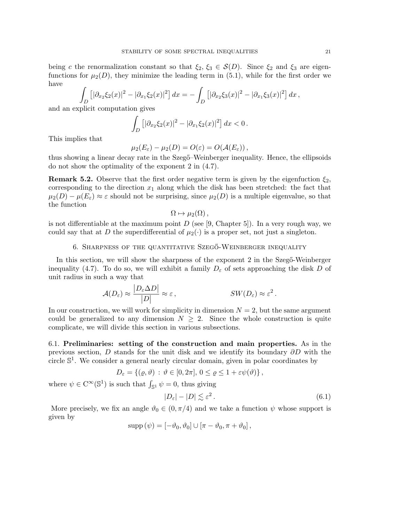being c the renormalization constant so that  $\xi_2, \xi_3 \in S(D)$ . Since  $\xi_2$  and  $\xi_3$  are eigenfunctions for  $\mu_2(D)$ , they minimize the leading term in (5.1), while for the first order we have

$$
\int_{D} \left[ |\partial_{x_2} \xi_2(x)|^2 - |\partial_{x_1} \xi_2(x)|^2 \right] dx = - \int_{D} \left[ |\partial_{x_2} \xi_3(x)|^2 - |\partial_{x_1} \xi_3(x)|^2 \right] dx,
$$

and an explicit computation gives

$$
\int_D [|\partial_{x_2} \xi_2(x)|^2 - |\partial_{x_1} \xi_2(x)|^2] dx < 0.
$$

This implies that

$$
\mu_2(E_{\varepsilon}) - \mu_2(D) = O(\varepsilon) = O(\mathcal{A}(E_{\varepsilon}))
$$

thus showing a linear decay rate in the Szeg<sub>"</sub>-Weinberger inequality. Hence, the ellipsoids do not show the optimality of the exponent 2 in (4.7).

**Remark 5.2.** Observe that the first order negative term is given by the eigenfuction  $\xi_2$ , corresponding to the direction  $x_1$  along which the disk has been stretched: the fact that  $\mu_2(D) - \mu(E_\varepsilon) \approx \varepsilon$  should not be surprising, since  $\mu_2(D)$  is a multiple eigenvalue, so that the function

$$
\Omega \mapsto \mu_2(\Omega) ,
$$

is not differentiable at the maximum point  $D$  (see [9, Chapter 5]). In a very rough way, we could say that at D the superdifferential of  $\mu_2(\cdot)$  is a proper set, not just a singleton.

# 6. SHARPNESS OF THE QUANTITATIVE  $SzEG\ddot{o}$ -Weinberger inequality

In this section, we will show the sharpness of the exponent 2 in the Szeg $\ddot{\text{o}}$ -Weinberger inequality (4.7). To do so, we will exhibit a family  $D_{\varepsilon}$  of sets approaching the disk D of unit radius in such a way that

$$
\mathcal{A}(D_{\varepsilon}) \approx \frac{|D_{\varepsilon} \Delta D|}{|D|} \approx \varepsilon, \qquad \qquad SW(D_{\varepsilon}) \approx \varepsilon^2.
$$

In our construction, we will work for simplicity in dimension  $N = 2$ , but the same argument could be generalized to any dimension  $N \geq 2$ . Since the whole construction is quite complicate, we will divide this section in various subsections.

6.1. Preliminaries: setting of the construction and main properties. As in the previous section, D stands for the unit disk and we identify its boundary  $\partial D$  with the circle  $\mathbb{S}^1$ . We consider a general nearly circular domain, given in polar coordinates by

$$
D_{\varepsilon} = \{(\varrho, \vartheta) : \vartheta \in [0, 2\pi], 0 \leq \varrho \leq 1 + \varepsilon \psi(\vartheta)\},\
$$

where  $\psi \in C^{\infty}(\mathbb{S}^1)$  is such that  $\int_{\mathbb{S}^1} \psi = 0$ , thus giving

$$
|D_{\varepsilon}| - |D| \lesssim \varepsilon^2. \tag{6.1}
$$

More precisely, we fix an angle  $\vartheta_0 \in (0, \pi/4)$  and we take a function  $\psi$  whose support is given by

$$
supp (\psi) = [-\vartheta_0, \vartheta_0] \cup [\pi - \vartheta_0, \pi + \vartheta_0],
$$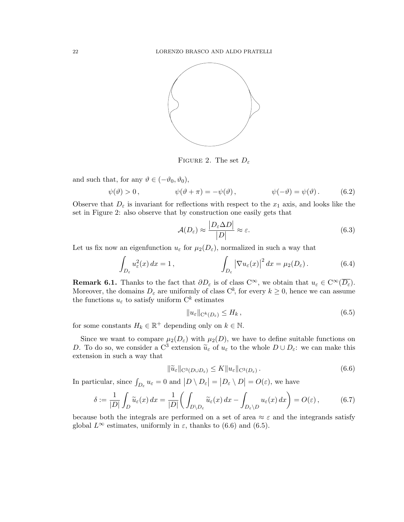

FIGURE 2. The set  $D_{\varepsilon}$ 

and such that, for any  $\vartheta \in (-\vartheta_0, \vartheta_0)$ ,

$$
\psi(\vartheta) > 0, \qquad \psi(\vartheta + \pi) = -\psi(\vartheta), \qquad \psi(-\vartheta) = \psi(\vartheta). \qquad (6.2)
$$

Observe that  $D_{\varepsilon}$  is invariant for reflections with respect to the  $x_1$  axis, and looks like the set in Figure 2: also observe that by construction one easily gets that

$$
\mathcal{A}(D_{\varepsilon}) \approx \frac{|D_{\varepsilon} \Delta D|}{|D|} \approx \varepsilon. \tag{6.3}
$$

Let us fix now an eigenfunction  $u_{\varepsilon}$  for  $\mu_2(D_{\varepsilon})$ , normalized in such a way that

$$
\int_{D_{\varepsilon}} u_{\varepsilon}^{2}(x) dx = 1, \qquad \qquad \int_{D_{\varepsilon}} |\nabla u_{\varepsilon}(x)|^{2} dx = \mu_{2}(D_{\varepsilon}). \qquad (6.4)
$$

**Remark 6.1.** Thanks to the fact that  $\partial D_{\varepsilon}$  is of class  $C^{\infty}$ , we obtain that  $u_{\varepsilon} \in C^{\infty}(\overline{D_{\varepsilon}})$ . Moreover, the domains  $D_{\varepsilon}$  are uniformly of class  $C^{k}$ , for every  $k \geq 0$ , hence we can assume the functions  $u_{\varepsilon}$  to satisfy uniform  $\mathbf{C}^{k}$  estimates

$$
||u_{\varepsilon}||_{\mathcal{C}^k(D_{\varepsilon})} \le H_k, \tag{6.5}
$$

for some constants  $H_k \in \mathbb{R}^+$  depending only on  $k \in \mathbb{N}$ .

Since we want to compare  $\mu_2(D_\varepsilon)$  with  $\mu_2(D)$ , we have to define suitable functions on D. To do so, we consider a C<sup>3</sup> extension  $\tilde{u}_{\varepsilon}$  of  $u_{\varepsilon}$  to the whole  $D \cup D_{\varepsilon}$ : we can make this extension in such a way that extension in such a way that

$$
\|\widetilde{u}_{\varepsilon}\|_{\mathcal{C}^3(D\cup D_{\varepsilon})} \le K \|u_{\varepsilon}\|_{\mathcal{C}^3(D_{\varepsilon})}.
$$
\n(6.6)

In particular, since  $\int_{D_{\varepsilon}} u_{\varepsilon} = 0$  and  $|D \setminus D_{\varepsilon}| = |D_{\varepsilon} \setminus D| = O(\varepsilon)$ , we have

$$
\delta := \frac{1}{|D|} \int_D \widetilde{u}_{\varepsilon}(x) dx = \frac{1}{|D|} \bigg( \int_{D \setminus D_{\varepsilon}} \widetilde{u}_{\varepsilon}(x) dx - \int_{D_{\varepsilon} \setminus D} u_{\varepsilon}(x) dx \bigg) = O(\varepsilon), \tag{6.7}
$$

because both the integrals are performed on a set of area  $\approx \varepsilon$  and the integrands satisfy global  $L^{\infty}$  estimates, uniformly in  $\varepsilon$ , thanks to (6.6) and (6.5).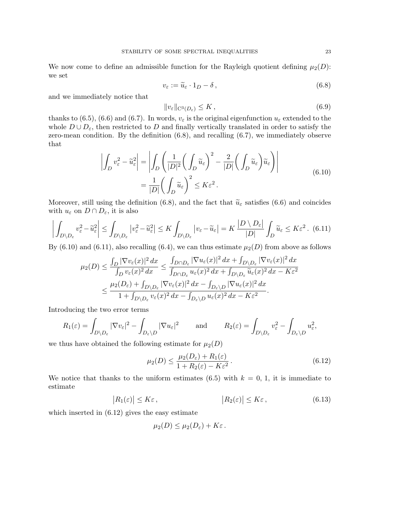We now come to define an admissible function for the Rayleigh quotient defining  $\mu_2(D)$ : we set

$$
v_{\varepsilon} := \widetilde{u}_{\varepsilon} \cdot 1_D - \delta, \qquad (6.8)
$$

and we immediately notice that

$$
||v_{\varepsilon}||_{\mathcal{C}^3(D_{\varepsilon})} \le K , \tag{6.9}
$$

thanks to (6.5), (6.6) and (6.7). In words,  $v_{\varepsilon}$  is the original eigenfunction  $u_{\varepsilon}$  extended to the whole  $D \cup D_{\varepsilon}$ , then restricted to D and finally vertically translated in order to satisfy the zero-mean condition. By the definition  $(6.8)$ , and recalling  $(6.7)$ , we immediately observe that

$$
\left| \int_{D} v_{\varepsilon}^{2} - \tilde{u}_{\varepsilon}^{2} \right| = \left| \int_{D} \left( \frac{1}{|D|^{2}} \left( \int_{D} \tilde{u}_{\varepsilon} \right)^{2} - \frac{2}{|D|} \left( \int_{D} \tilde{u}_{\varepsilon} \right) \tilde{u}_{\varepsilon} \right) \right|
$$
\n
$$
= \frac{1}{|D|} \left( \int_{D} \tilde{u}_{\varepsilon} \right)^{2} \le K \varepsilon^{2}.
$$
\n(6.10)

Moreover, still using the definition (6.8), and the fact that  $\tilde{u}_{\varepsilon}$  satisfies (6.6) and coincides with  $u_{\varepsilon}$  on  $D \cap D_{\varepsilon}$ , it is also

$$
\left| \int_{D \setminus D_{\varepsilon}} v_{\varepsilon}^{2} - \tilde{u}_{\varepsilon}^{2} \right| \leq \int_{D \setminus D_{\varepsilon}} |v_{\varepsilon}^{2} - \tilde{u}_{\varepsilon}^{2}| \leq K \int_{D \setminus D_{\varepsilon}} |v_{\varepsilon} - \tilde{u}_{\varepsilon}| = K \frac{|D \setminus D_{\varepsilon}|}{|D|} \int_{D} \tilde{u}_{\varepsilon} \leq K \varepsilon^{2}.
$$
 (6.11)

By (6.10) and (6.11), also recalling (6.4), we can thus estimate  $\mu_2(D)$  from above as follows

$$
\mu_2(D) \le \frac{\int_D |\nabla v_{\varepsilon}(x)|^2 dx}{\int_D v_{\varepsilon}(x)^2 dx} \le \frac{\int_{D \cap D_{\varepsilon}} |\nabla u_{\varepsilon}(x)|^2 dx + \int_{D \setminus D_{\varepsilon}} |\nabla v_{\varepsilon}(x)|^2 dx}{\int_{D \cap D_{\varepsilon}} u_{\varepsilon}(x)^2 dx + \int_{D \setminus D_{\varepsilon}} \tilde{u}_{\varepsilon}(x)^2 dx - K\varepsilon^2} \le \frac{\mu_2(D_{\varepsilon}) + \int_{D \setminus D_{\varepsilon}} |\nabla v_{\varepsilon}(x)|^2 dx - \int_{D_{\varepsilon} \setminus D} |\nabla u_{\varepsilon}(x)|^2 dx}{1 + \int_{D \setminus D_{\varepsilon}} v_{\varepsilon}(x)^2 dx - \int_{D_{\varepsilon} \setminus D} u_{\varepsilon}(x)^2 dx - K\varepsilon^2}.
$$

Introducing the two error terms

$$
R_1(\varepsilon) = \int_{D \setminus D_{\varepsilon}} |\nabla v_{\varepsilon}|^2 - \int_{D_{\varepsilon} \setminus D} |\nabla u_{\varepsilon}|^2 \quad \text{and} \quad R_2(\varepsilon) = \int_{D \setminus D_{\varepsilon}} v_{\varepsilon}^2 - \int_{D_{\varepsilon} \setminus D} u_{\varepsilon}^2,
$$

we thus have obtained the following estimate for  $\mu_2(D)$ 

$$
\mu_2(D) \le \frac{\mu_2(D_\varepsilon) + R_1(\varepsilon)}{1 + R_2(\varepsilon) - K\varepsilon^2}.
$$
\n(6.12)

We notice that thanks to the uniform estimates  $(6.5)$  with  $k = 0, 1$ , it is immediate to estimate

$$
|R_1(\varepsilon)| \le K\varepsilon, \qquad |R_2(\varepsilon)| \le K\varepsilon, \qquad (6.13)
$$

which inserted in (6.12) gives the easy estimate

$$
\mu_2(D) \leq \mu_2(D_{\varepsilon}) + K\varepsilon.
$$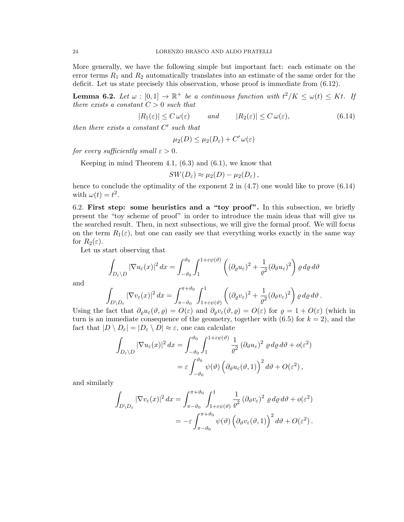More generally, we have the following simple but important fact: each estimate on the error terms  $R_1$  and  $R_2$  automatically translates into an estimate of the same order for the deficit. Let us state precisely this observation, whose proof is immediate from (6.12).

**Lemma 6.2.** Let  $\omega : [0,1] \to \mathbb{R}^+$  be a continuous function with  $t^2/K \leq \omega(t) \leq Kt$ . If there exists a constant  $C > 0$  such that

$$
|R_1(\varepsilon)| \le C \,\omega(\varepsilon) \qquad \text{and} \qquad |R_2(\varepsilon)| \le C \,\omega(\varepsilon), \tag{6.14}
$$

then there exists a constant  $C'$  such that

$$
\mu_2(D) \leq \mu_2(D_\varepsilon) + C' \,\omega(\varepsilon)
$$

for every sufficiently small  $\varepsilon > 0$ .

Keeping in mind Theorem 4.1, (6.3) and (6.1), we know that

$$
SW(D_{\varepsilon}) \approx \mu_2(D) - \mu_2(D_{\varepsilon}),
$$

hence to conclude the optimality of the exponent 2 in  $(4.7)$  one would like to prove  $(6.14)$ with  $\omega(t) = t^2$ .

6.2. First step: some heuristics and a "toy proof". In this subsection, we briefly present the "toy scheme of proof" in order to introduce the main ideas that will give us the searched result. Then, in next subsections, we will give the formal proof. We will focus on the term  $R_1(\varepsilon)$ , but one can easily see that everything works exactly in the same way for  $R_2(\varepsilon)$ .

Let us start observing that

$$
\int_{D_{\varepsilon}\setminus D} |\nabla u_{\varepsilon}(x)|^2 dx = \int_{-\vartheta_0}^{\vartheta_0} \int_{1}^{1+\varepsilon\psi(\vartheta)} \left( (\partial_{\varrho} u_{\varepsilon})^2 + \frac{1}{\varrho^2} (\partial_{\vartheta} u_{\varepsilon})^2 \right) \varrho d\varrho d\vartheta
$$

and

$$
\int_{D\setminus D_{\varepsilon}} |\nabla v_{\varepsilon}(x)|^2 dx = \int_{\pi-\vartheta_0}^{\pi+\vartheta_0} \int_{1+\varepsilon\psi(\vartheta)}^1 \left( (\partial_{\varrho}v_{\varepsilon})^2 + \frac{1}{\varrho^2} (\partial_{\vartheta}v_{\varepsilon})^2 \right) \varrho \,d\varrho \,d\vartheta.
$$

Using the fact that  $\partial_{\rho}u_{\varepsilon}(\vartheta,\varrho)=O(\varepsilon)$  and  $\partial_{\rho}v_{\varepsilon}(\vartheta,\varrho)=O(\varepsilon)$  for  $\varrho=1+O(\varepsilon)$  (which in turn is an immediate consequence of the geometry, together with  $(6.5)$  for  $k = 2$ ), and the fact that  $|D \setminus D_{\varepsilon}| = |D_{\varepsilon} \setminus D| \approx \varepsilon$ , one can calculate

$$
\int_{D_{\varepsilon}\setminus D} |\nabla u_{\varepsilon}(x)|^2 dx = \int_{-\vartheta_0}^{\vartheta_0} \int_{1}^{1+\varepsilon\psi(\vartheta)} \frac{1}{\varrho^2} (\partial_{\vartheta} u_{\varepsilon})^2 \varrho d\varrho d\vartheta + o(\varepsilon^2)
$$
  
=  $\varepsilon \int_{-\vartheta_0}^{\vartheta_0} \psi(\vartheta) \left( \partial_{\vartheta} u_{\varepsilon}(\vartheta, 1) \right)^2 d\vartheta + O(\varepsilon^2),$ 

and similarly

$$
\int_{D\setminus D_{\varepsilon}} |\nabla v_{\varepsilon}(x)|^2 dx = \int_{\pi-\vartheta_0}^{\pi+\vartheta_0} \int_{1+\varepsilon\psi(\vartheta)}^1 \frac{1}{\varrho^2} (\partial_{\vartheta} v_{\varepsilon})^2 \varrho d\varrho d\vartheta + o(\varepsilon^2)
$$
  
= 
$$
-\varepsilon \int_{\pi-\vartheta_0}^{\pi+\vartheta_0} \psi(\vartheta) \left(\partial_{\vartheta} v_{\varepsilon}(\vartheta,1)\right)^2 d\vartheta + O(\varepsilon^2).
$$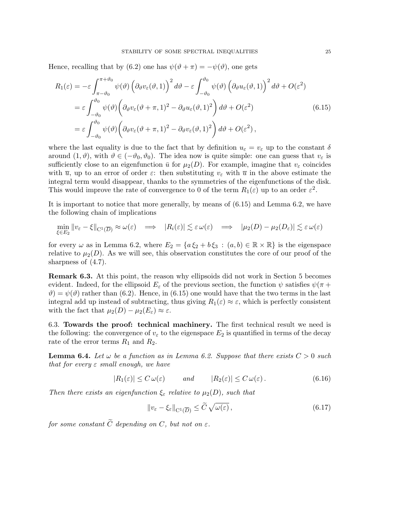Hence, recalling that by (6.2) one has  $\psi(\vartheta + \pi) = -\psi(\vartheta)$ , one gets

$$
R_1(\varepsilon) = -\varepsilon \int_{\pi-\vartheta_0}^{\pi+\vartheta_0} \psi(\vartheta) \left(\partial_{\vartheta} v_{\varepsilon}(\vartheta,1)\right)^2 d\vartheta - \varepsilon \int_{-\vartheta_0}^{\vartheta_0} \psi(\vartheta) \left(\partial_{\vartheta} u_{\varepsilon}(\vartheta,1)\right)^2 d\vartheta + O(\varepsilon^2)
$$
  
\n
$$
= \varepsilon \int_{-\vartheta_0}^{\vartheta_0} \psi(\vartheta) \left(\partial_{\vartheta} v_{\varepsilon}(\vartheta+\pi,1)^2 - \partial_{\vartheta} u_{\varepsilon}(\vartheta,1)^2\right) d\vartheta + O(\varepsilon^2)
$$
(6.15)  
\n
$$
= \varepsilon \int_{-\vartheta_0}^{\vartheta_0} \psi(\vartheta) \left(\partial_{\vartheta} v_{\varepsilon}(\vartheta+\pi,1)^2 - \partial_{\vartheta} v_{\varepsilon}(\vartheta,1)^2\right) d\vartheta + O(\varepsilon^2),
$$

where the last equality is due to the fact that by definition  $u_{\varepsilon} = v_{\varepsilon}$  up to the constant  $\delta$ around  $(1, \vartheta)$ , with  $\vartheta \in (-\vartheta_0, \vartheta_0)$ . The idea now is quite simple: one can guess that  $v_{\varepsilon}$  is sufficiently close to an eigenfunction  $\bar{u}$  for  $\mu_2(D)$ . For example, imagine that  $v_{\varepsilon}$  coincides with  $\bar{u}$ , up to an error of order  $\varepsilon$ : then substituting  $v_{\varepsilon}$  with  $\bar{u}$  in the above estimate the integral term would disappear, thanks to the symmetries of the eigenfunctions of the disk. This would improve the rate of convergence to 0 of the term  $R_1(\varepsilon)$  up to an order  $\varepsilon^2$ .

It is important to notice that more generally, by means of (6.15) and Lemma 6.2, we have the following chain of implications

$$
\min_{\xi \in E_2} ||v_{\varepsilon} - \xi||_{\mathcal{C}^1(\overline{D})} \approx \omega(\varepsilon) \implies |R_i(\varepsilon)| \lesssim \varepsilon \omega(\varepsilon) \implies |\mu_2(D) - \mu_2(D_{\varepsilon})| \lesssim \varepsilon \omega(\varepsilon)
$$

for every  $\omega$  as in Lemma 6.2, where  $E_2 = \{a \xi_2 + b \xi_3 : (a, b) \in \mathbb{R} \times \mathbb{R}\}\$ is the eigenspace relative to  $\mu_2(D)$ . As we will see, this observation constitutes the core of our proof of the sharpness of (4.7).

**Remark 6.3.** At this point, the reason why ellipsoids did not work in Section 5 becomes evident. Indeed, for the ellipsoid  $E_{\varepsilon}$  of the previous section, the function  $\psi$  satisfies  $\psi(\pi +$  $\vartheta$ ) =  $\psi(\vartheta)$  rather than (6.2). Hence, in (6.15) one would have that the two terms in the last integral add up instead of subtracting, thus giving  $R_1(\varepsilon) \approx \varepsilon$ , which is perfectly consistent with the fact that  $\mu_2(D) - \mu_2(E_{\varepsilon}) \approx \varepsilon$ .

6.3. Towards the proof: technical machinery. The first technical result we need is the following: the convergence of  $v_{\varepsilon}$  to the eigenspace  $E_2$  is quantified in terms of the decay rate of the error terms  $R_1$  and  $R_2$ .

**Lemma 6.4.** Let  $\omega$  be a function as in Lemma 6.2. Suppose that there exists  $C > 0$  such that for every  $\varepsilon$  small enough, we have

$$
|R_1(\varepsilon)| \le C \,\omega(\varepsilon) \qquad \text{and} \qquad |R_2(\varepsilon)| \le C \,\omega(\varepsilon). \tag{6.16}
$$

Then there exists an eigenfunction  $\xi_{\varepsilon}$  relative to  $\mu_2(D)$ , such that

$$
\|v_{\varepsilon} - \xi_{\varepsilon}\|_{\mathcal{C}^1(\overline{D})} \le \widetilde{C} \sqrt{\omega(\varepsilon)},\tag{6.17}
$$

for some constant  $\widetilde{C}$  depending on  $C$ , but not on  $\varepsilon$ .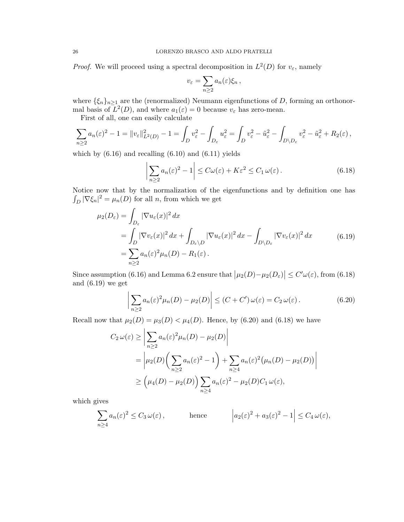*Proof.* We will proceed using a spectral decomposition in  $L^2(D)$  for  $v_{\varepsilon}$ , namely

$$
v_{\varepsilon} = \sum_{n\geq 2} a_n(\varepsilon) \xi_n ,
$$

where  $\{\xi_n\}_{n\geq 1}$  are the (renormalized) Neumann eigenfunctions of D, forming an orthonormal basis of  $L^2(D)$ , and where  $a_1(\varepsilon) = 0$  because  $v_{\varepsilon}$  has zero-mean.

First of all, one can easily calculate

$$
\sum_{n\geq 2} a_n(\varepsilon)^2 - 1 = ||v_{\varepsilon}||_{L^2(D)}^2 - 1 = \int_D v_{\varepsilon}^2 - \int_{D_{\varepsilon}} u_{\varepsilon}^2 = \int_D v_{\varepsilon}^2 - \tilde{u}_{\varepsilon}^2 - \int_{D \setminus D_{\varepsilon}} v_{\varepsilon}^2 - \tilde{u}_{\varepsilon}^2 + R_2(\varepsilon),
$$

which by  $(6.16)$  and recalling  $(6.10)$  and  $(6.11)$  yields

$$
\left| \sum_{n\geq 2} a_n(\varepsilon)^2 - 1 \right| \leq C\omega(\varepsilon) + K\varepsilon^2 \leq C_1 \omega(\varepsilon).
$$
 (6.18)

Notice now that by the normalization of the eigenfunctions and by definition one has  $\int_D |\nabla \xi_n|^2 = \mu_n(D)$  for all n, from which we get

$$
\mu_2(D_\varepsilon) = \int_{D_\varepsilon} |\nabla u_\varepsilon(x)|^2 dx
$$
  
= 
$$
\int_{D} |\nabla v_\varepsilon(x)|^2 dx + \int_{D_\varepsilon \setminus D} |\nabla u_\varepsilon(x)|^2 dx - \int_{D \setminus D_\varepsilon} |\nabla v_\varepsilon(x)|^2 dx
$$
 (6.19)  
= 
$$
\sum_{n \ge 2} a_n(\varepsilon)^2 \mu_n(D) - R_1(\varepsilon).
$$

Since assumption (6.16) and Lemma 6.2 ensure that  $|\mu_2(D) - \mu_2(D_\varepsilon)| \le C' \omega(\varepsilon)$ , from (6.18) and (6.19) we get

$$
\left| \sum_{n\geq 2} a_n(\varepsilon)^2 \mu_n(D) - \mu_2(D) \right| \leq (C + C') \omega(\varepsilon) = C_2 \omega(\varepsilon).
$$
 (6.20)

Recall now that  $\mu_2(D) = \mu_3(D) < \mu_4(D)$ . Hence, by (6.20) and (6.18) we have

$$
C_2 \omega(\varepsilon) \ge \left| \sum_{n\ge 2} a_n(\varepsilon)^2 \mu_n(D) - \mu_2(D) \right|
$$
  
=  $\left| \mu_2(D) \left( \sum_{n\ge 2} a_n(\varepsilon)^2 - 1 \right) + \sum_{n\ge 4} a_n(\varepsilon)^2 (\mu_n(D) - \mu_2(D)) \right|$   
 $\ge \left( \mu_4(D) - \mu_2(D) \right) \sum_{n\ge 4} a_n(\varepsilon)^2 - \mu_2(D) C_1 \omega(\varepsilon),$ 

which gives

$$
\sum_{n\geq 4} a_n(\varepsilon)^2 \leq C_3 \,\omega(\varepsilon)\,,\qquad \text{hence} \qquad \left| a_2(\varepsilon)^2 + a_3(\varepsilon)^2 - 1 \right| \leq C_4 \,\omega(\varepsilon),
$$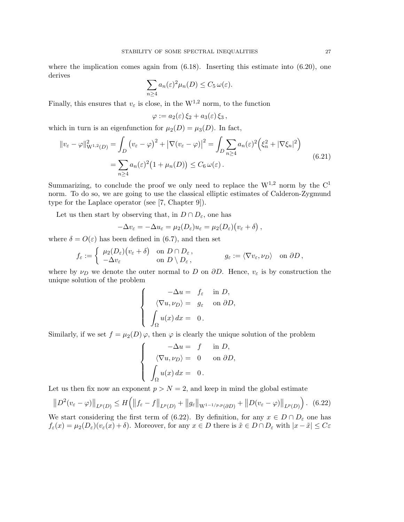where the implication comes again from  $(6.18)$ . Inserting this estimate into  $(6.20)$ , one derives

$$
\sum_{n\geq 4} a_n(\varepsilon)^2 \mu_n(D) \leq C_5 \,\omega(\varepsilon).
$$

Finally, this ensures that  $v_{\varepsilon}$  is close, in the W<sup>1,2</sup> norm, to the function

$$
\varphi := a_2(\varepsilon)\,\xi_2 + a_3(\varepsilon)\,\xi_3\,,
$$

which in turn is an eigenfunction for  $\mu_2(D) = \mu_3(D)$ . In fact,

$$
||v_{\varepsilon} - \varphi||_{\mathcal{W}^{1,2}(D)}^2 = \int_D (v_{\varepsilon} - \varphi)^2 + |\nabla(v_{\varepsilon} - \varphi)|^2 = \int_D \sum_{n \ge 4} a_n(\varepsilon)^2 \left(\xi_n^2 + |\nabla\xi_n|^2\right)
$$
  
= 
$$
\sum_{n \ge 4} a_n(\varepsilon)^2 \left(1 + \mu_n(D)\right) \le C_6 \,\omega(\varepsilon).
$$
 (6.21)

Summarizing, to conclude the proof we only need to replace the  $W^{1,2}$  norm by the  $C^1$ norm. To do so, we are going to use the classical elliptic estimates of Calderon-Zygmund type for the Laplace operator (see [7, Chapter 9]).

Let us then start by observing that, in  $D \cap D_{\varepsilon}$ , one has

$$
-\Delta v_{\varepsilon} = -\Delta u_{\varepsilon} = \mu_2(D_{\varepsilon})u_{\varepsilon} = \mu_2(D_{\varepsilon})\big(v_{\varepsilon} + \delta\big)\,,
$$

where  $\delta = O(\varepsilon)$  has been defined in (6.7), and then set

$$
f_{\varepsilon} := \begin{cases} \mu_2(D_{\varepsilon}) (v_{\varepsilon} + \delta) & \text{on } D \cap D_{\varepsilon} \,, \\ -\Delta v_{\varepsilon} & \text{on } D \setminus D_{\varepsilon} \,, \end{cases} \qquad g_{\varepsilon} := \langle \nabla v_{\varepsilon}, \nu_D \rangle \quad \text{on } \partial D \,,
$$

where by  $\nu_D$  we denote the outer normal to D on  $\partial D$ . Hence,  $v_{\varepsilon}$  is by construction the unique solution of the problem

$$
\begin{cases}\n-\Delta u = f_{\varepsilon} & \text{in } D, \\
\langle \nabla u, \nu_D \rangle = g_{\varepsilon} & \text{on } \partial D, \\
\int_{\Omega} u(x) dx = 0.\n\end{cases}
$$

Similarly, if we set  $f = \mu_2(D) \varphi$ , then  $\varphi$  is clearly the unique solution of the problem

$$
\begin{cases}\n-\Delta u = f & \text{in } D, \\
\langle \nabla u, \nu_D \rangle = 0 & \text{on } \partial D, \\
\int_{\Omega} u(x) dx = 0.\n\end{cases}
$$

Let us then fix now an exponent  $p > N = 2$ , and keep in mind the global estimate

$$
||D^{2}(v_{\varepsilon}-\varphi)||_{L^{p}(D)} \leq H\left(||f_{\varepsilon}-f||_{L^{p}(D)}+||g_{\varepsilon}||_{W^{1-1/p,p}(\partial D)}+||D(v_{\varepsilon}-\varphi)||_{L^{p}(D)}\right). \tag{6.22}
$$

We start considering the first term of (6.22). By definition, for any  $x \in D \cap D_{\varepsilon}$  one has  $f_{\varepsilon}(x) = \mu_2(D_{\varepsilon})(v_{\varepsilon}(x) + \delta)$ . Moreover, for any  $x \in D$  there is  $\tilde{x} \in D \cap D_{\varepsilon}$  with  $|x - \tilde{x}| \leq C \varepsilon$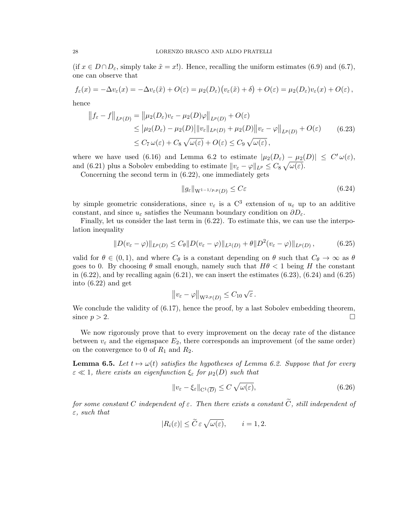(if  $x \in D \cap D_{\varepsilon}$ , simply take  $\tilde{x} = x!$ ). Hence, recalling the uniform estimates (6.9) and (6.7), one can observe that

$$
f_{\varepsilon}(x) = -\Delta v_{\varepsilon}(x) = -\Delta v_{\varepsilon}(\tilde{x}) + O(\varepsilon) = \mu_2(D_{\varepsilon}) \big( v_{\varepsilon}(\tilde{x}) + \delta \big) + O(\varepsilon) = \mu_2(D_{\varepsilon}) v_{\varepsilon}(x) + O(\varepsilon),
$$

hence

$$
\|f_{\varepsilon} - f\|_{L^{p}(D)} = \|\mu_2(D_{\varepsilon})v_{\varepsilon} - \mu_2(D)\varphi\|_{L^{p}(D)} + O(\varepsilon)
$$
  
\n
$$
\leq |\mu_2(D_{\varepsilon}) - \mu_2(D)| \|v_{\varepsilon}\|_{L^{p}(D)} + \mu_2(D)\|v_{\varepsilon} - \varphi\|_{L^{p}(D)} + O(\varepsilon)
$$
 (6.23)  
\n
$$
\leq C_7 \,\omega(\varepsilon) + C_8 \,\sqrt{\omega(\varepsilon)} + O(\varepsilon) \leq C_9 \,\sqrt{\omega(\varepsilon)},
$$

where we have used (6.16) and Lemma 6.2 to estimate  $|\mu_2(D_\varepsilon) - \mu_2(D)| \leq C' \omega(\varepsilon)$ , and (6.21) plus a Sobolev embedding to estimate  $||v_{\varepsilon} - \varphi||_{L^p} \leq C_8 \sqrt{\omega(\varepsilon)}$ .

Concerning the second term in (6.22), one immediately gets

$$
||g_{\varepsilon}||_{\mathcal{W}^{1-1/p,p}(D)} \leq C\varepsilon \tag{6.24}
$$

by simple geometric considerations, since  $v_{\varepsilon}$  is a C<sup>3</sup> extension of  $u_{\varepsilon}$  up to an additive constant, and since  $u_{\varepsilon}$  satisfies the Neumann boundary condition on  $\partial D_{\varepsilon}$ .

Finally, let us consider the last term in (6.22). To estimate this, we can use the interpolation inequality

$$
||D(v_{\varepsilon} - \varphi)||_{L^{p}(D)} \leq C_{\theta} ||D(v_{\varepsilon} - \varphi)||_{L^{2}(D)} + \theta ||D^{2}(v_{\varepsilon} - \varphi)||_{L^{p}(D)}, \tag{6.25}
$$

valid for  $\theta \in (0, 1)$ , and where  $C_{\theta}$  is a constant depending on  $\theta$  such that  $C_{\theta} \to \infty$  as  $\theta$ goes to 0. By choosing  $\theta$  small enough, namely such that  $H\theta < 1$  being H the constant in  $(6.22)$ , and by recalling again  $(6.21)$ , we can insert the estimates  $(6.23)$ ,  $(6.24)$  and  $(6.25)$ into (6.22) and get

$$
||v_{\varepsilon}-\varphi||_{\mathcal{W}^{2,p}(D)}\leq C_{10}\sqrt{\varepsilon}\,.
$$

We conclude the validity of  $(6.17)$ , hence the proof, by a last Sobolev embedding theorem, since  $p > 2$ .

We now rigorously prove that to every improvement on the decay rate of the distance between  $v_{\varepsilon}$  and the eigenspace  $E_2$ , there corresponds an improvement (of the same order) on the convergence to 0 of  $R_1$  and  $R_2$ .

**Lemma 6.5.** Let  $t \mapsto \omega(t)$  satisfies the hypotheses of Lemma 6.2. Suppose that for every  $\varepsilon \ll 1$ , there exists an eigenfunction  $\xi_{\varepsilon}$  for  $\mu_2(D)$  such that

$$
||v_{\varepsilon} - \xi_{\varepsilon}||_{C^{1}(\overline{D})} \le C \sqrt{\omega(\varepsilon)},
$$
\n(6.26)

for some constant C independent of  $\varepsilon$ . Then there exists a constant  $\widetilde{C}$ , still independent of  $\varepsilon$ , such that

$$
|R_i(\varepsilon)| \le \widetilde{C} \,\varepsilon \,\sqrt{\omega(\varepsilon)}, \qquad i = 1, 2.
$$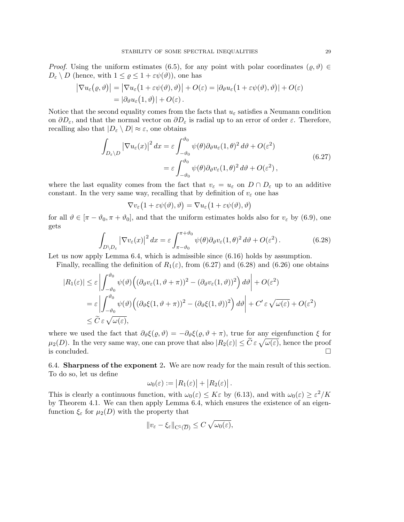*Proof.* Using the uniform estimates (6.5), for any point with polar coordinates  $(\rho, \vartheta) \in$  $D_{\varepsilon} \setminus D$  (hence, with  $1 \leq \varrho \leq 1 + \varepsilon \psi(\vartheta)$ ), one has

$$
\left| \nabla u_{\varepsilon}(\varrho, \vartheta) \right| = \left| \nabla u_{\varepsilon} (1 + \varepsilon \psi(\vartheta), \vartheta) \right| + O(\varepsilon) = \left| \partial_{\vartheta} u_{\varepsilon} (1 + \varepsilon \psi(\vartheta), \vartheta) \right| + O(\varepsilon)
$$
  
= 
$$
\left| \partial_{\vartheta} u_{\varepsilon} (1, \vartheta) \right| + O(\varepsilon).
$$

Notice that the second equality comes from the facts that  $u_{\varepsilon}$  satisfies a Neumann condition on  $\partial D_{\varepsilon}$ , and that the normal vector on  $\partial D_{\varepsilon}$  is radial up to an error of order  $\varepsilon$ . Therefore, recalling also that  $|D_{\varepsilon} \setminus D| \approx \varepsilon$ , one obtains

$$
\int_{D_{\varepsilon}\setminus D} |\nabla u_{\varepsilon}(x)|^2 dx = \varepsilon \int_{-\vartheta_0}^{\vartheta_0} \psi(\theta) \partial_{\vartheta} u_{\varepsilon}(1,\theta)^2 d\vartheta + O(\varepsilon^2)
$$
  
=  $\varepsilon \int_{-\vartheta_0}^{\vartheta_0} \psi(\theta) \partial_{\vartheta} v_{\varepsilon}(1,\theta)^2 d\vartheta + O(\varepsilon^2)$ , (6.27)

where the last equality comes from the fact that  $v_{\varepsilon} = u_{\varepsilon}$  on  $D \cap D_{\varepsilon}$  up to an additive constant. In the very same way, recalling that by definition of  $v_{\varepsilon}$  one has

$$
\nabla v_{\varepsilon}\big(1+\varepsilon \psi(\vartheta),\vartheta\big)=\nabla u_{\varepsilon}\big(1+\varepsilon \psi(\vartheta),\vartheta\big)
$$

for all  $\vartheta \in [\pi - \vartheta_0, \pi + \vartheta_0]$ , and that the uniform estimates holds also for  $v_{\varepsilon}$  by (6.9), one gets

$$
\int_{D\setminus D_{\varepsilon}} |\nabla v_{\varepsilon}(x)|^2 dx = \varepsilon \int_{\pi-\vartheta_0}^{\pi+\vartheta_0} \psi(\theta) \partial_{\vartheta} v_{\varepsilon}(1,\theta)^2 d\theta + O(\varepsilon^2).
$$
 (6.28)

Let us now apply Lemma 6.4, which is admissible since (6.16) holds by assumption.

Finally, recalling the definition of  $R_1(\varepsilon)$ , from (6.27) and (6.28) and (6.26) one obtains

$$
|R_1(\varepsilon)| \leq \varepsilon \left| \int_{-\vartheta_0}^{\vartheta_0} \psi(\vartheta) \Big( (\partial_\vartheta v_\varepsilon (1, \vartheta + \pi))^2 - (\partial_\vartheta v_\varepsilon (1, \vartheta))^2 \Big) d\vartheta \right| + O(\varepsilon^2)
$$
  
=  $\varepsilon \left| \int_{-\vartheta_0}^{\vartheta_0} \psi(\vartheta) \Big( (\partial_\vartheta \xi (1, \vartheta + \pi))^2 - (\partial_\vartheta \xi (1, \vartheta))^2 \Big) d\vartheta \right| + C' \varepsilon \sqrt{\omega(\varepsilon)} + O(\varepsilon^2)$   
 $\leq \widetilde{C} \varepsilon \sqrt{\omega(\varepsilon)},$ 

where we used the fact that  $\partial_{\theta} \xi(\varrho, \vartheta) = -\partial_{\theta} \xi(\varrho, \vartheta + \pi)$ , true for any eigenfunction  $\xi$  for  $\mu_2(D)$ . In the very same way, one can prove that also  $|R_2(\varepsilon)| \leq \tilde{C} \varepsilon \sqrt{\omega(\varepsilon)}$ , hence the proof is concluded.

6.4. Sharpness of the exponent 2. We are now ready for the main result of this section. To do so, let us define

$$
\omega_0(\varepsilon) := |R_1(\varepsilon)| + |R_2(\varepsilon)|.
$$

This is clearly a continuous function, with  $\omega_0(\varepsilon) \leq K\varepsilon$  by (6.13), and with  $\omega_0(\varepsilon) \geq \varepsilon^2/K$ by Theorem 4.1. We can then apply Lemma 6.4, which ensures the existence of an eigenfunction  $\xi_{\varepsilon}$  for  $\mu_2(D)$  with the property that

$$
||v_{\varepsilon}-\xi_{\varepsilon}||_{\mathcal{C}^{1}(\overline{D})}\leq C\sqrt{\omega_{0}(\varepsilon)},
$$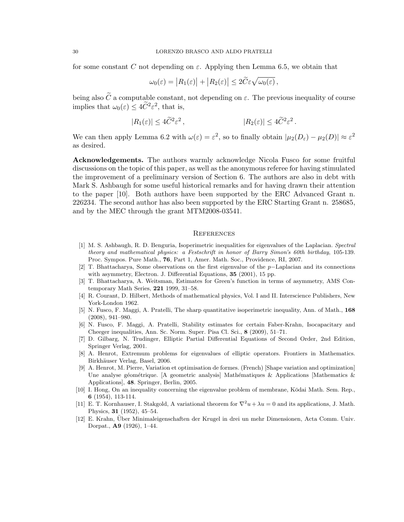for some constant C not depending on  $\varepsilon$ . Applying then Lemma 6.5, we obtain that

$$
\omega_0(\varepsilon) = |R_1(\varepsilon)| + |R_2(\varepsilon)| \le 2\widetilde{C}\varepsilon \sqrt{\omega_0(\varepsilon)},
$$

being also  $\widetilde{C}$  a computable constant, not depending on  $\varepsilon$ . The previous inequality of course implies that  $\omega_0(\varepsilon) \leq 4\tilde{C}^2 \varepsilon^2$ , that is,

$$
|R_1(\varepsilon)| \le 4\widetilde{C}^2 \varepsilon^2, \qquad |R_2(\varepsilon)| \le 4\widetilde{C}^2 \varepsilon^2.
$$

We can then apply Lemma 6.2 with  $\omega(\varepsilon) = \varepsilon^2$ , so to finally obtain  $|\mu_2(D_\varepsilon) - \mu_2(D)| \approx \varepsilon^2$ as desired.

Acknowledgements. The authors warmly acknowledge Nicola Fusco for some fruitful discussions on the topic of this paper, as well as the anonymous referee for having stimulated the improvement of a preliminary version of Section 6. The authors are also in debt with Mark S. Ashbaugh for some useful historical remarks and for having drawn their attention to the paper [10]. Both authors have been supported by the ERC Advanced Grant n. 226234. The second author has also been supported by the ERC Starting Grant n. 258685, and by the MEC through the grant MTM2008-03541.

### **REFERENCES**

- [1] M. S. Ashbaugh, R. D. Benguria, Isoperimetric inequalities for eigenvalues of the Laplacian. Spectral theory and mathematical physics: a Festschrift in honor of Barry Simon's 60th birthday, 105-139. Proc. Sympos. Pure Math., 76, Part 1, Amer. Math. Soc., Providence, RI, 2007.
- [2] T. Bhattacharya, Some observations on the first eigenvalue of the p−Laplacian and its connections with asymmetry, Electron. J. Differential Equations, **35** (2001), 15 pp.
- [3] T. Bhattacharya, A. Weitsman, Estimates for Green's function in terms of asymmetry, AMS Contemporary Math Series, 221 1999, 31–58.
- [4] R. Courant, D. Hilbert, Methods of mathematical physics, Vol. I and II. Interscience Publishers, New York-London 1962.
- [5] N. Fusco, F. Maggi, A. Pratelli, The sharp quantitative isoperimetric inequality, Ann. of Math., 168 (2008), 941–980.
- [6] N. Fusco, F. Maggi, A. Pratelli, Stability estimates for certain Faber-Krahn, Isocapacitary and Cheeger inequalities, Ann. Sc. Norm. Super. Pisa Cl. Sci., 8 (2009), 51–71.
- [7] D. Gilbarg, N. Trudinger, Elliptic Partial Differential Equations of Second Order, 2nd Edition, Springer Verlag, 2001.
- [8] A. Henrot, Extremum problems for eigenvalues of elliptic operators. Frontiers in Mathematics. Birkhäuser Verlag, Basel, 2006.
- [9] A. Henrot, M. Pierre, Variation et optimisation de formes. (French) [Shape variation and optimization] Une analyse géométrique. [A geometric analysis] Mathématiques & Applications [Mathematics  $\&$ Applications], 48. Springer, Berlin, 2005.
- [10] I. Hong, On an inequality concerning the eigenvalue problem of membrane, Kōdai Math. Sem. Rep., 6 (1954), 113-114.
- [11] E. T. Kornhauser, I. Stakgold, A variational theorem for  $\nabla^2 u + \lambda u = 0$  and its applications, J. Math. Physics, 31 (1952), 45–54.
- [12] E. Krahn, Uber Minimaleigenschaften der Krugel in drei un mehr Dimensionen, Acta Comm. Univ. ¨ Dorpat., A9 (1926), 1–44.